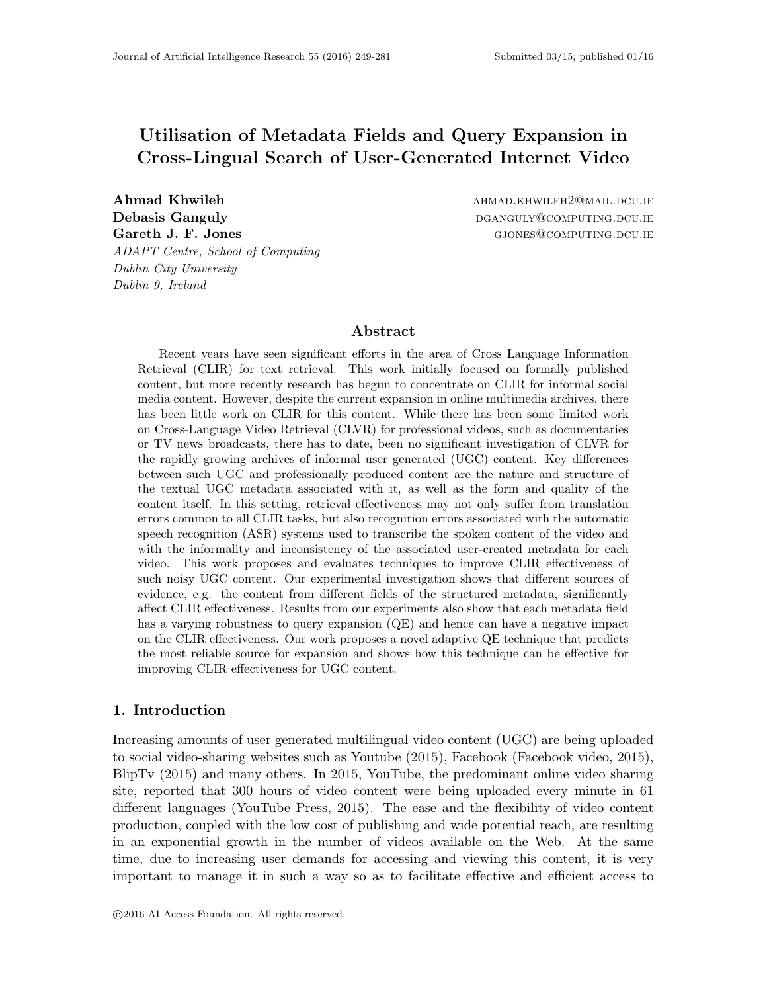# Utilisation of Metadata Fields and Query Expansion in Cross-Lingual Search of User-Generated Internet Video

Ahmad Khwileh ahmad.khwileh ahmad.khwi.dcu.ie Debasis Ganguly diamonduced by the participation of the participation of  $D$  and  $D$  and  $D$  and  $D$  and  $D$  and  $D$  and  $D$  and  $D$  and  $D$  and  $D$  and  $D$  and  $D$  and  $D$  and  $D$  and  $D$  and  $D$  and  $D$  and  $D$  and  $D$  a Gareth J. F. Jones Giovernal Giovernal General General General General General General General General General G ADAPT Centre, School of Computing Dublin City University Dublin 9, Ireland

# Abstract

Recent years have seen significant efforts in the area of Cross Language Information Retrieval (CLIR) for text retrieval. This work initially focused on formally published content, but more recently research has begun to concentrate on CLIR for informal social media content. However, despite the current expansion in online multimedia archives, there has been little work on CLIR for this content. While there has been some limited work on Cross-Language Video Retrieval (CLVR) for professional videos, such as documentaries or TV news broadcasts, there has to date, been no significant investigation of CLVR for the rapidly growing archives of informal user generated (UGC) content. Key differences between such UGC and professionally produced content are the nature and structure of the textual UGC metadata associated with it, as well as the form and quality of the content itself. In this setting, retrieval effectiveness may not only suffer from translation errors common to all CLIR tasks, but also recognition errors associated with the automatic speech recognition (ASR) systems used to transcribe the spoken content of the video and with the informality and inconsistency of the associated user-created metadata for each video. This work proposes and evaluates techniques to improve CLIR effectiveness of such noisy UGC content. Our experimental investigation shows that different sources of evidence, e.g. the content from different fields of the structured metadata, significantly affect CLIR effectiveness. Results from our experiments also show that each metadata field has a varying robustness to query expansion (QE) and hence can have a negative impact on the CLIR effectiveness. Our work proposes a novel adaptive QE technique that predicts the most reliable source for expansion and shows how this technique can be effective for improving CLIR effectiveness for UGC content.

# 1. Introduction

Increasing amounts of user generated multilingual video content (UGC) are being uploaded to social video-sharing websites such as Youtube (2015), Facebook (Facebook video, 2015), BlipTv (2015) and many others. In 2015, YouTube, the predominant online video sharing site, reported that 300 hours of video content were being uploaded every minute in 61 different languages (YouTube Press, 2015). The ease and the flexibility of video content production, coupled with the low cost of publishing and wide potential reach, are resulting in an exponential growth in the number of videos available on the Web. At the same time, due to increasing user demands for accessing and viewing this content, it is very important to manage it in such a way so as to facilitate effective and efficient access to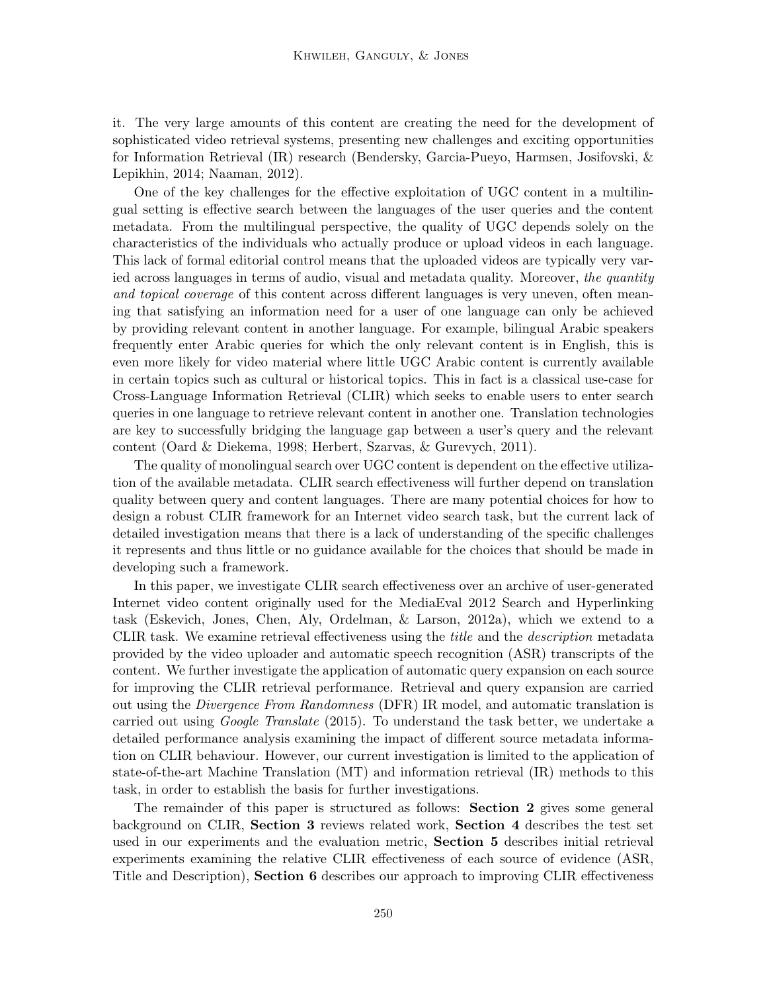it. The very large amounts of this content are creating the need for the development of sophisticated video retrieval systems, presenting new challenges and exciting opportunities for Information Retrieval (IR) research (Bendersky, Garcia-Pueyo, Harmsen, Josifovski, & Lepikhin, 2014; Naaman, 2012).

One of the key challenges for the effective exploitation of UGC content in a multilingual setting is effective search between the languages of the user queries and the content metadata. From the multilingual perspective, the quality of UGC depends solely on the characteristics of the individuals who actually produce or upload videos in each language. This lack of formal editorial control means that the uploaded videos are typically very varied across languages in terms of audio, visual and metadata quality. Moreover, the quantity and topical coverage of this content across different languages is very uneven, often meaning that satisfying an information need for a user of one language can only be achieved by providing relevant content in another language. For example, bilingual Arabic speakers frequently enter Arabic queries for which the only relevant content is in English, this is even more likely for video material where little UGC Arabic content is currently available in certain topics such as cultural or historical topics. This in fact is a classical use-case for Cross-Language Information Retrieval (CLIR) which seeks to enable users to enter search queries in one language to retrieve relevant content in another one. Translation technologies are key to successfully bridging the language gap between a user's query and the relevant content (Oard & Diekema, 1998; Herbert, Szarvas, & Gurevych, 2011).

The quality of monolingual search over UGC content is dependent on the effective utilization of the available metadata. CLIR search effectiveness will further depend on translation quality between query and content languages. There are many potential choices for how to design a robust CLIR framework for an Internet video search task, but the current lack of detailed investigation means that there is a lack of understanding of the specific challenges it represents and thus little or no guidance available for the choices that should be made in developing such a framework.

In this paper, we investigate CLIR search effectiveness over an archive of user-generated Internet video content originally used for the MediaEval 2012 Search and Hyperlinking task (Eskevich, Jones, Chen, Aly, Ordelman, & Larson, 2012a), which we extend to a CLIR task. We examine retrieval effectiveness using the title and the description metadata provided by the video uploader and automatic speech recognition (ASR) transcripts of the content. We further investigate the application of automatic query expansion on each source for improving the CLIR retrieval performance. Retrieval and query expansion are carried out using the Divergence From Randomness (DFR) IR model, and automatic translation is carried out using *Google Translate* (2015). To understand the task better, we undertake a detailed performance analysis examining the impact of different source metadata information on CLIR behaviour. However, our current investigation is limited to the application of state-of-the-art Machine Translation (MT) and information retrieval (IR) methods to this task, in order to establish the basis for further investigations.

The remainder of this paper is structured as follows: Section 2 gives some general background on CLIR, Section 3 reviews related work, Section 4 describes the test set used in our experiments and the evaluation metric, Section 5 describes initial retrieval experiments examining the relative CLIR effectiveness of each source of evidence (ASR, Title and Description), Section 6 describes our approach to improving CLIR effectiveness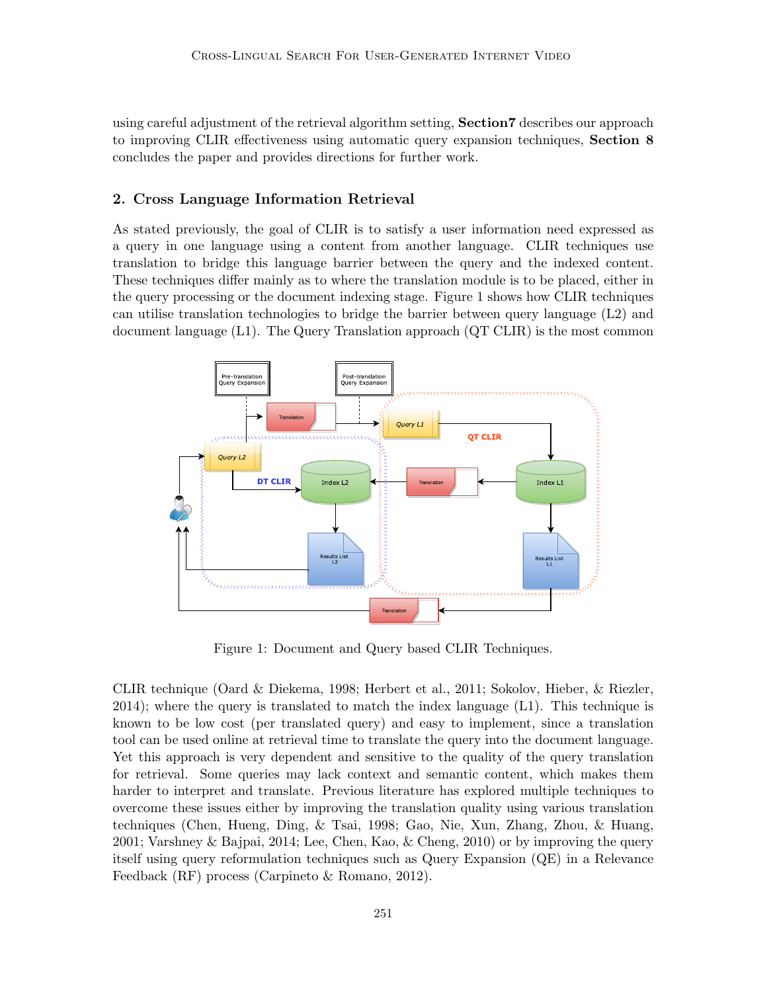using careful adjustment of the retrieval algorithm setting, Section7 describes our approach to improving CLIR effectiveness using automatic query expansion techniques, Section 8 concludes the paper and provides directions for further work.

# 2. Cross Language Information Retrieval

As stated previously, the goal of CLIR is to satisfy a user information need expressed as a query in one language using a content from another language. CLIR techniques use translation to bridge this language barrier between the query and the indexed content. These techniques differ mainly as to where the translation module is to be placed, either in the query processing or the document indexing stage. Figure 1 shows how CLIR techniques can utilise translation technologies to bridge the barrier between query language (L2) and document language (L1). The Query Translation approach (QT CLIR) is the most common



Figure 1: Document and Query based CLIR Techniques.

CLIR technique (Oard & Diekema, 1998; Herbert et al., 2011; Sokolov, Hieber, & Riezler, 2014); where the query is translated to match the index language (L1). This technique is known to be low cost (per translated query) and easy to implement, since a translation tool can be used online at retrieval time to translate the query into the document language. Yet this approach is very dependent and sensitive to the quality of the query translation for retrieval. Some queries may lack context and semantic content, which makes them harder to interpret and translate. Previous literature has explored multiple techniques to overcome these issues either by improving the translation quality using various translation techniques (Chen, Hueng, Ding, & Tsai, 1998; Gao, Nie, Xun, Zhang, Zhou, & Huang, 2001; Varshney & Bajpai, 2014; Lee, Chen, Kao, & Cheng, 2010) or by improving the query itself using query reformulation techniques such as Query Expansion (QE) in a Relevance Feedback (RF) process (Carpineto & Romano, 2012).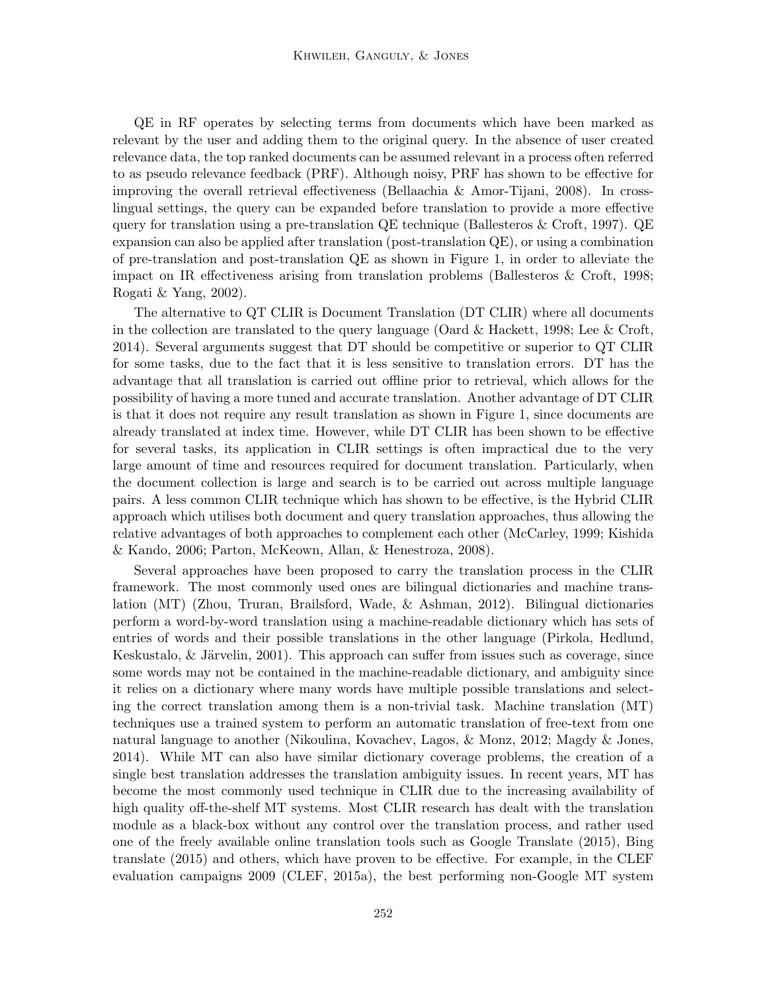QE in RF operates by selecting terms from documents which have been marked as relevant by the user and adding them to the original query. In the absence of user created relevance data, the top ranked documents can be assumed relevant in a process often referred to as pseudo relevance feedback (PRF). Although noisy, PRF has shown to be effective for improving the overall retrieval effectiveness (Bellaachia & Amor-Tijani, 2008). In crosslingual settings, the query can be expanded before translation to provide a more effective query for translation using a pre-translation QE technique (Ballesteros & Croft, 1997). QE expansion can also be applied after translation (post-translation QE), or using a combination of pre-translation and post-translation QE as shown in Figure 1, in order to alleviate the impact on IR effectiveness arising from translation problems (Ballesteros & Croft, 1998; Rogati & Yang, 2002).

The alternative to QT CLIR is Document Translation (DT CLIR) where all documents in the collection are translated to the query language (Oard  $\&$  Hackett, 1998; Lee  $\&$  Croft, 2014). Several arguments suggest that DT should be competitive or superior to QT CLIR for some tasks, due to the fact that it is less sensitive to translation errors. DT has the advantage that all translation is carried out offline prior to retrieval, which allows for the possibility of having a more tuned and accurate translation. Another advantage of DT CLIR is that it does not require any result translation as shown in Figure 1, since documents are already translated at index time. However, while DT CLIR has been shown to be effective for several tasks, its application in CLIR settings is often impractical due to the very large amount of time and resources required for document translation. Particularly, when the document collection is large and search is to be carried out across multiple language pairs. A less common CLIR technique which has shown to be effective, is the Hybrid CLIR approach which utilises both document and query translation approaches, thus allowing the relative advantages of both approaches to complement each other (McCarley, 1999; Kishida & Kando, 2006; Parton, McKeown, Allan, & Henestroza, 2008).

Several approaches have been proposed to carry the translation process in the CLIR framework. The most commonly used ones are bilingual dictionaries and machine translation (MT) (Zhou, Truran, Brailsford, Wade, & Ashman, 2012). Bilingual dictionaries perform a word-by-word translation using a machine-readable dictionary which has sets of entries of words and their possible translations in the other language (Pirkola, Hedlund, Keskustalo,  $\&$  Järvelin, 2001). This approach can suffer from issues such as coverage, since some words may not be contained in the machine-readable dictionary, and ambiguity since it relies on a dictionary where many words have multiple possible translations and selecting the correct translation among them is a non-trivial task. Machine translation (MT) techniques use a trained system to perform an automatic translation of free-text from one natural language to another (Nikoulina, Kovachev, Lagos, & Monz, 2012; Magdy & Jones, 2014). While MT can also have similar dictionary coverage problems, the creation of a single best translation addresses the translation ambiguity issues. In recent years, MT has become the most commonly used technique in CLIR due to the increasing availability of high quality off-the-shelf MT systems. Most CLIR research has dealt with the translation module as a black-box without any control over the translation process, and rather used one of the freely available online translation tools such as Google Translate (2015), Bing translate (2015) and others, which have proven to be effective. For example, in the CLEF evaluation campaigns 2009 (CLEF, 2015a), the best performing non-Google MT system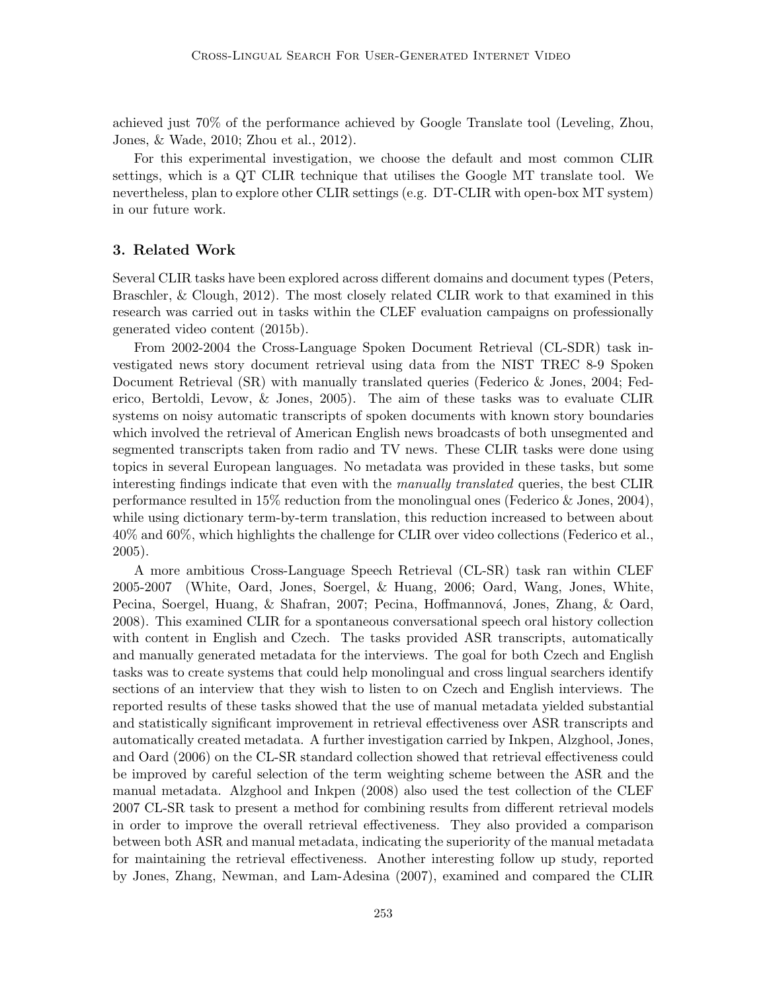achieved just 70% of the performance achieved by Google Translate tool (Leveling, Zhou, Jones, & Wade, 2010; Zhou et al., 2012).

For this experimental investigation, we choose the default and most common CLIR settings, which is a QT CLIR technique that utilises the Google MT translate tool. We nevertheless, plan to explore other CLIR settings (e.g. DT-CLIR with open-box MT system) in our future work.

# 3. Related Work

Several CLIR tasks have been explored across different domains and document types (Peters, Braschler, & Clough, 2012). The most closely related CLIR work to that examined in this research was carried out in tasks within the CLEF evaluation campaigns on professionally generated video content (2015b).

From 2002-2004 the Cross-Language Spoken Document Retrieval (CL-SDR) task investigated news story document retrieval using data from the NIST TREC 8-9 Spoken Document Retrieval (SR) with manually translated queries (Federico & Jones, 2004; Federico, Bertoldi, Levow, & Jones, 2005). The aim of these tasks was to evaluate CLIR systems on noisy automatic transcripts of spoken documents with known story boundaries which involved the retrieval of American English news broadcasts of both unsegmented and segmented transcripts taken from radio and TV news. These CLIR tasks were done using topics in several European languages. No metadata was provided in these tasks, but some interesting findings indicate that even with the manually translated queries, the best CLIR performance resulted in 15% reduction from the monolingual ones (Federico & Jones, 2004), while using dictionary term-by-term translation, this reduction increased to between about 40% and 60%, which highlights the challenge for CLIR over video collections (Federico et al., 2005).

A more ambitious Cross-Language Speech Retrieval (CL-SR) task ran within CLEF 2005-2007 (White, Oard, Jones, Soergel, & Huang, 2006; Oard, Wang, Jones, White, Pecina, Soergel, Huang, & Shafran, 2007; Pecina, Hoffmannová, Jones, Zhang, & Oard, 2008). This examined CLIR for a spontaneous conversational speech oral history collection with content in English and Czech. The tasks provided ASR transcripts, automatically and manually generated metadata for the interviews. The goal for both Czech and English tasks was to create systems that could help monolingual and cross lingual searchers identify sections of an interview that they wish to listen to on Czech and English interviews. The reported results of these tasks showed that the use of manual metadata yielded substantial and statistically significant improvement in retrieval effectiveness over ASR transcripts and automatically created metadata. A further investigation carried by Inkpen, Alzghool, Jones, and Oard (2006) on the CL-SR standard collection showed that retrieval effectiveness could be improved by careful selection of the term weighting scheme between the ASR and the manual metadata. Alzghool and Inkpen (2008) also used the test collection of the CLEF 2007 CL-SR task to present a method for combining results from different retrieval models in order to improve the overall retrieval effectiveness. They also provided a comparison between both ASR and manual metadata, indicating the superiority of the manual metadata for maintaining the retrieval effectiveness. Another interesting follow up study, reported by Jones, Zhang, Newman, and Lam-Adesina (2007), examined and compared the CLIR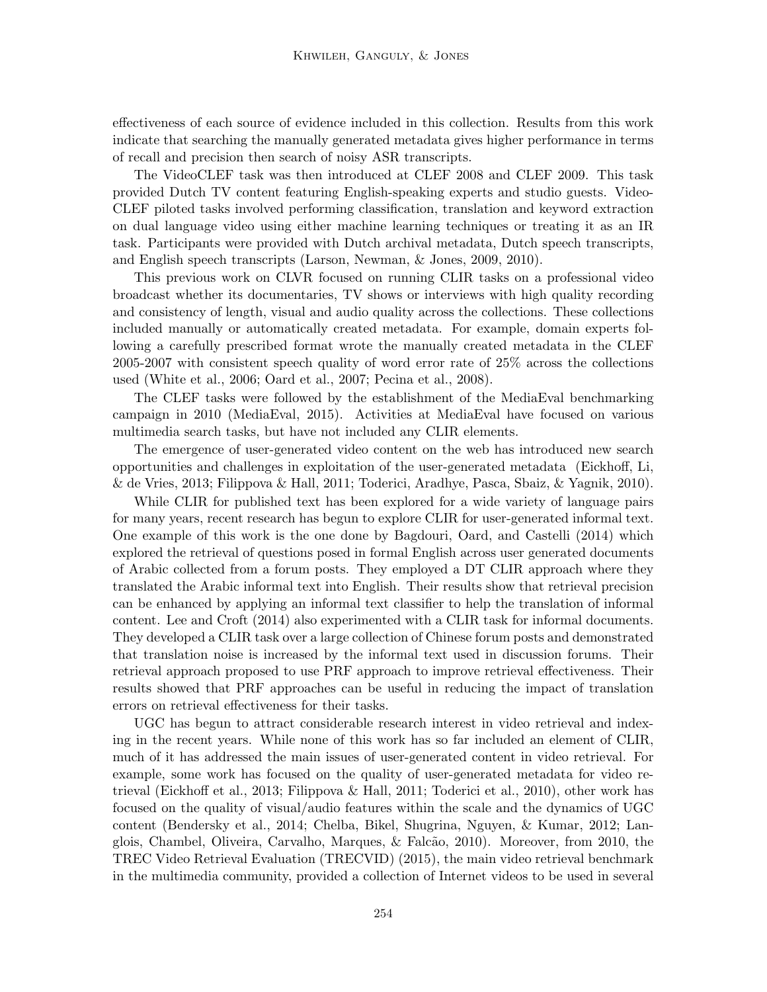effectiveness of each source of evidence included in this collection. Results from this work indicate that searching the manually generated metadata gives higher performance in terms of recall and precision then search of noisy ASR transcripts.

The VideoCLEF task was then introduced at CLEF 2008 and CLEF 2009. This task provided Dutch TV content featuring English-speaking experts and studio guests. Video-CLEF piloted tasks involved performing classification, translation and keyword extraction on dual language video using either machine learning techniques or treating it as an IR task. Participants were provided with Dutch archival metadata, Dutch speech transcripts, and English speech transcripts (Larson, Newman, & Jones, 2009, 2010).

This previous work on CLVR focused on running CLIR tasks on a professional video broadcast whether its documentaries, TV shows or interviews with high quality recording and consistency of length, visual and audio quality across the collections. These collections included manually or automatically created metadata. For example, domain experts following a carefully prescribed format wrote the manually created metadata in the CLEF 2005-2007 with consistent speech quality of word error rate of 25% across the collections used (White et al., 2006; Oard et al., 2007; Pecina et al., 2008).

The CLEF tasks were followed by the establishment of the MediaEval benchmarking campaign in 2010 (MediaEval, 2015). Activities at MediaEval have focused on various multimedia search tasks, but have not included any CLIR elements.

The emergence of user-generated video content on the web has introduced new search opportunities and challenges in exploitation of the user-generated metadata (Eickhoff, Li, & de Vries, 2013; Filippova & Hall, 2011; Toderici, Aradhye, Pasca, Sbaiz, & Yagnik, 2010).

While CLIR for published text has been explored for a wide variety of language pairs for many years, recent research has begun to explore CLIR for user-generated informal text. One example of this work is the one done by Bagdouri, Oard, and Castelli (2014) which explored the retrieval of questions posed in formal English across user generated documents of Arabic collected from a forum posts. They employed a DT CLIR approach where they translated the Arabic informal text into English. Their results show that retrieval precision can be enhanced by applying an informal text classifier to help the translation of informal content. Lee and Croft (2014) also experimented with a CLIR task for informal documents. They developed a CLIR task over a large collection of Chinese forum posts and demonstrated that translation noise is increased by the informal text used in discussion forums. Their retrieval approach proposed to use PRF approach to improve retrieval effectiveness. Their results showed that PRF approaches can be useful in reducing the impact of translation errors on retrieval effectiveness for their tasks.

UGC has begun to attract considerable research interest in video retrieval and indexing in the recent years. While none of this work has so far included an element of CLIR, much of it has addressed the main issues of user-generated content in video retrieval. For example, some work has focused on the quality of user-generated metadata for video retrieval (Eickhoff et al., 2013; Filippova & Hall, 2011; Toderici et al., 2010), other work has focused on the quality of visual/audio features within the scale and the dynamics of UGC content (Bendersky et al., 2014; Chelba, Bikel, Shugrina, Nguyen, & Kumar, 2012; Langlois, Chambel, Oliveira, Carvalho, Marques, & Falcão, 2010). Moreover, from 2010, the TREC Video Retrieval Evaluation (TRECVID) (2015), the main video retrieval benchmark in the multimedia community, provided a collection of Internet videos to be used in several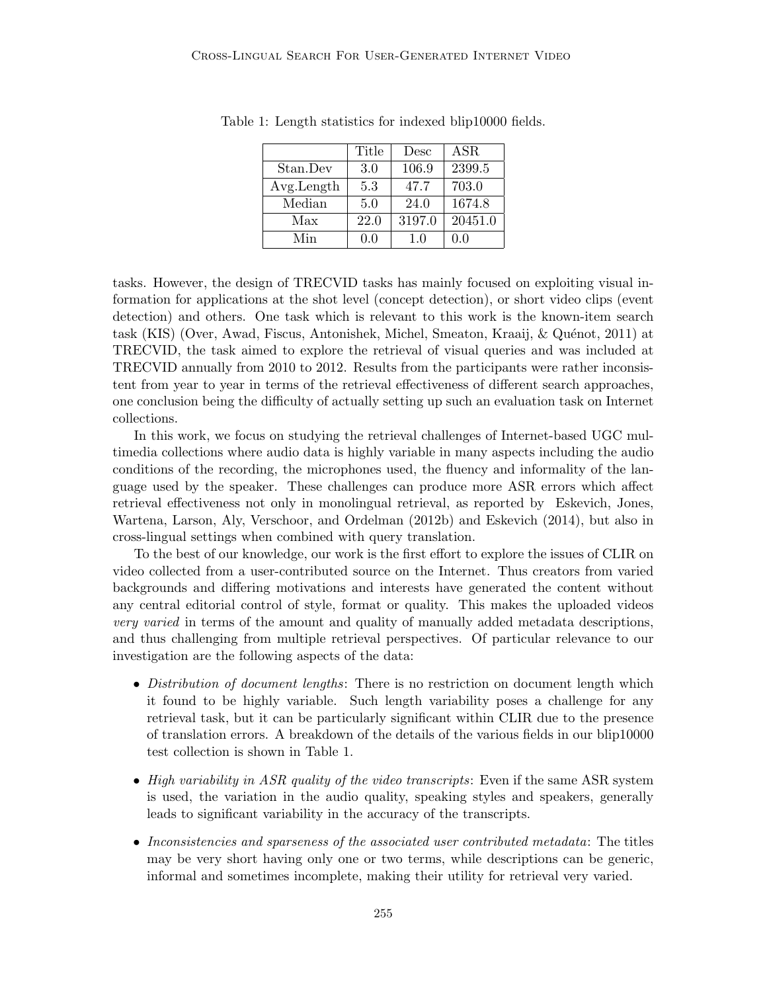|            | Title | Desc   | <b>ASR</b> |
|------------|-------|--------|------------|
| Stan.Dev   | 3.0   | 106.9  | 2399.5     |
| Avg.Length | 5.3   | 47.7   | 703.0      |
| Median     | 5.0   | 24.0   | 1674.8     |
| Max        | 22.0  | 3197.0 | 20451.0    |
| Min        | 0.0   | 1.0    | 0.0        |

Table 1: Length statistics for indexed blip10000 fields.

tasks. However, the design of TRECVID tasks has mainly focused on exploiting visual information for applications at the shot level (concept detection), or short video clips (event detection) and others. One task which is relevant to this work is the known-item search task (KIS) (Over, Awad, Fiscus, Antonishek, Michel, Smeaton, Kraaij, & Quénot, 2011) at TRECVID, the task aimed to explore the retrieval of visual queries and was included at TRECVID annually from 2010 to 2012. Results from the participants were rather inconsistent from year to year in terms of the retrieval effectiveness of different search approaches, one conclusion being the difficulty of actually setting up such an evaluation task on Internet collections.

In this work, we focus on studying the retrieval challenges of Internet-based UGC multimedia collections where audio data is highly variable in many aspects including the audio conditions of the recording, the microphones used, the fluency and informality of the language used by the speaker. These challenges can produce more ASR errors which affect retrieval effectiveness not only in monolingual retrieval, as reported by Eskevich, Jones, Wartena, Larson, Aly, Verschoor, and Ordelman (2012b) and Eskevich (2014), but also in cross-lingual settings when combined with query translation.

To the best of our knowledge, our work is the first effort to explore the issues of CLIR on video collected from a user-contributed source on the Internet. Thus creators from varied backgrounds and differing motivations and interests have generated the content without any central editorial control of style, format or quality. This makes the uploaded videos very varied in terms of the amount and quality of manually added metadata descriptions, and thus challenging from multiple retrieval perspectives. Of particular relevance to our investigation are the following aspects of the data:

- Distribution of document lengths: There is no restriction on document length which it found to be highly variable. Such length variability poses a challenge for any retrieval task, but it can be particularly significant within CLIR due to the presence of translation errors. A breakdown of the details of the various fields in our blip10000 test collection is shown in Table 1.
- High variability in ASR quality of the video transcripts: Even if the same ASR system is used, the variation in the audio quality, speaking styles and speakers, generally leads to significant variability in the accuracy of the transcripts.
- Inconsistencies and sparseness of the associated user contributed metadata: The titles may be very short having only one or two terms, while descriptions can be generic, informal and sometimes incomplete, making their utility for retrieval very varied.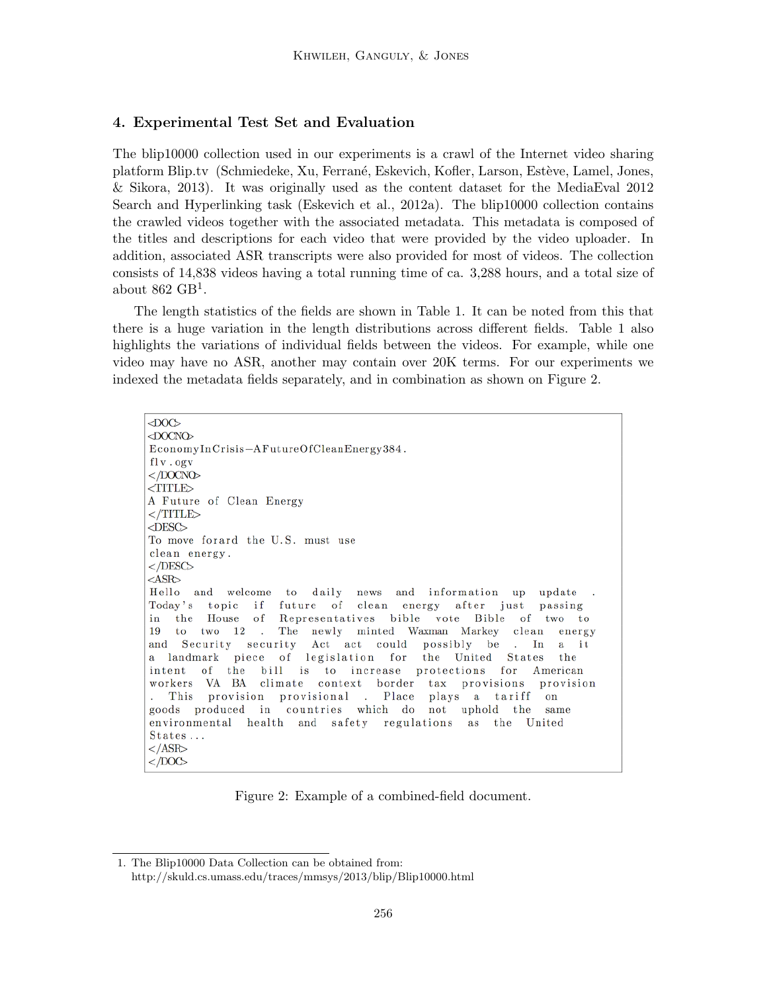# 4. Experimental Test Set and Evaluation

The blip10000 collection used in our experiments is a crawl of the Internet video sharing platform Blip.tv (Schmiedeke, Xu, Ferrané, Eskevich, Kofler, Larson, Estève, Lamel, Jones, & Sikora, 2013). It was originally used as the content dataset for the MediaEval 2012 Search and Hyperlinking task (Eskevich et al., 2012a). The blip10000 collection contains the crawled videos together with the associated metadata. This metadata is composed of the titles and descriptions for each video that were provided by the video uploader. In addition, associated ASR transcripts were also provided for most of videos. The collection consists of 14,838 videos having a total running time of ca. 3,288 hours, and a total size of about  $862$  GB<sup>1</sup>.

The length statistics of the fields are shown in Table 1. It can be noted from this that there is a huge variation in the length distributions across different fields. Table 1 also highlights the variations of individual fields between the videos. For example, while one video may have no ASR, another may contain over 20K terms. For our experiments we indexed the metadata fields separately, and in combination as shown on Figure 2.

 $<$ DOC>  $\triangle$ DOCNO EconomyInCrisis-AFutureOfCleanEnergy384.  $fly. ogv$  $<$  /DOCNO  $<$ TITLE $>$ A Future of Clean Energy  $\langle$ /TITLE>  $<$ DESC $>$ To move forard the U.S. must use clean energy.  $<$ /DESC>  $<$ ASR $>$ Hello and welcome to daily news and information up update Today's topic i f future of clean energy after just passing in the House of Representatives bible vote Bible of two to 19 to two  $12$ . The newly minted Waxman Markey clean energy and Security security Act act could possibly be In  $\mathbf{a}$ i t a landmark piece of legislation for the United States  $_{\rm the}$ of the bill is to increase protections for American intent workers VA BA climate context border  $_{\rm tax}$ provisions provision This provision provisional . Place plays a tariff on goods produced in countries which do not uphold the same environmental health and safety regulations as the  $United$ States...  $\langle$ /ASR>  $<$  /DOC>

Figure 2: Example of a combined-field document.

<sup>1.</sup> The Blip10000 Data Collection can be obtained from: http://skuld.cs.umass.edu/traces/mmsys/2013/blip/Blip10000.html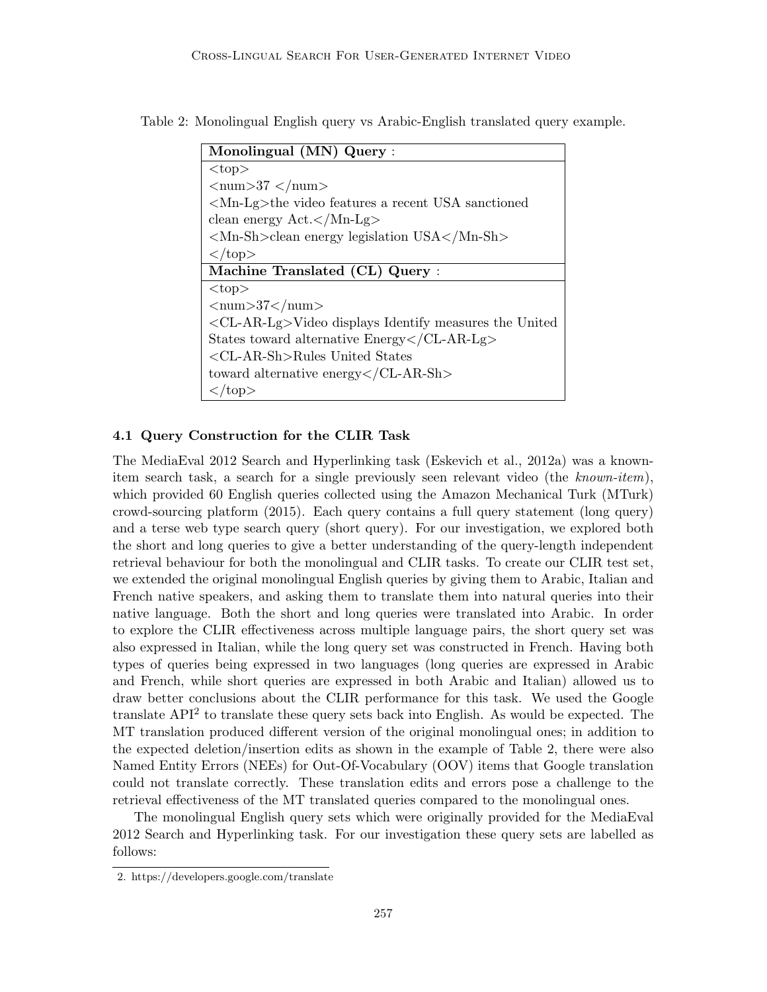Table 2: Monolingual English query vs Arabic-English translated query example.

| Monolingual (MN) Query:                                                     |
|-----------------------------------------------------------------------------|
| $<$ top $>$                                                                 |
| $\langle$ num $>37$ $\langle$ /num $>$                                      |
| $\langle Mn-Lg \rangle$ the video features a recent USA sanctioned          |
| clean energy Act.                                                           |
| $\langle Mn-Sh\rangle$ -clean energy legislation USA $\langle Mn-Sh\rangle$ |
| $\langle$ top>                                                              |
| Machine Translated (CL) Query:                                              |
| $\ntop$                                                                     |
| $\langle$ num $>37$ $\langle$ /num $>$                                      |
| $\langle CL-AR-Lg\rangle$ Video displays Identify measures the United       |
| States toward alternative Energy                                            |
| $\langle$ CL-AR-Sh>Rules United States                                      |
| toward alternative energy $\langle$ /CL-AR-Sh $>$                           |
| $\langle$ /top>                                                             |

### 4.1 Query Construction for the CLIR Task

The MediaEval 2012 Search and Hyperlinking task (Eskevich et al., 2012a) was a knownitem search task, a search for a single previously seen relevant video (the known-item), which provided 60 English queries collected using the Amazon Mechanical Turk (MTurk) crowd-sourcing platform (2015). Each query contains a full query statement (long query) and a terse web type search query (short query). For our investigation, we explored both the short and long queries to give a better understanding of the query-length independent retrieval behaviour for both the monolingual and CLIR tasks. To create our CLIR test set, we extended the original monolingual English queries by giving them to Arabic, Italian and French native speakers, and asking them to translate them into natural queries into their native language. Both the short and long queries were translated into Arabic. In order to explore the CLIR effectiveness across multiple language pairs, the short query set was also expressed in Italian, while the long query set was constructed in French. Having both types of queries being expressed in two languages (long queries are expressed in Arabic and French, while short queries are expressed in both Arabic and Italian) allowed us to draw better conclusions about the CLIR performance for this task. We used the Google translate  $API<sup>2</sup>$  to translate these query sets back into English. As would be expected. The MT translation produced different version of the original monolingual ones; in addition to the expected deletion/insertion edits as shown in the example of Table 2, there were also Named Entity Errors (NEEs) for Out-Of-Vocabulary (OOV) items that Google translation could not translate correctly. These translation edits and errors pose a challenge to the retrieval effectiveness of the MT translated queries compared to the monolingual ones.

The monolingual English query sets which were originally provided for the MediaEval 2012 Search and Hyperlinking task. For our investigation these query sets are labelled as follows:

<sup>2.</sup> https://developers.google.com/translate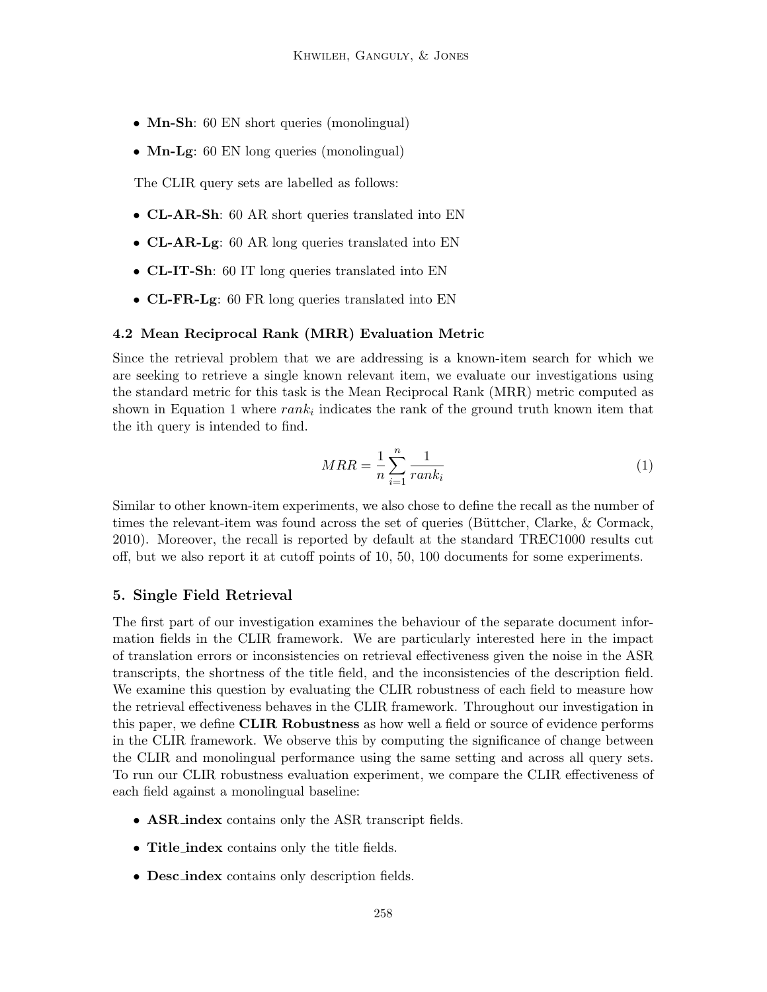- Mn-Sh: 60 EN short queries (monolingual)
- **Mn-Lg**: 60 EN long queries (monolingual)

The CLIR query sets are labelled as follows:

- CL-AR-Sh: 60 AR short queries translated into EN
- CL-AR-Lg: 60 AR long queries translated into EN
- CL-IT-Sh: 60 IT long queries translated into EN
- CL-FR-Lg: 60 FR long queries translated into EN

### 4.2 Mean Reciprocal Rank (MRR) Evaluation Metric

Since the retrieval problem that we are addressing is a known-item search for which we are seeking to retrieve a single known relevant item, we evaluate our investigations using the standard metric for this task is the Mean Reciprocal Rank (MRR) metric computed as shown in Equation 1 where  $rank_i$  indicates the rank of the ground truth known item that the ith query is intended to find.

$$
MRR = \frac{1}{n} \sum_{i=1}^{n} \frac{1}{rank_i}
$$
\n<sup>(1)</sup>

Similar to other known-item experiments, we also chose to define the recall as the number of times the relevant-item was found across the set of queries (Büttcher, Clarke,  $&$  Cormack, 2010). Moreover, the recall is reported by default at the standard TREC1000 results cut off, but we also report it at cutoff points of 10, 50, 100 documents for some experiments.

# 5. Single Field Retrieval

The first part of our investigation examines the behaviour of the separate document information fields in the CLIR framework. We are particularly interested here in the impact of translation errors or inconsistencies on retrieval effectiveness given the noise in the ASR transcripts, the shortness of the title field, and the inconsistencies of the description field. We examine this question by evaluating the CLIR robustness of each field to measure how the retrieval effectiveness behaves in the CLIR framework. Throughout our investigation in this paper, we define **CLIR Robustness** as how well a field or source of evidence performs in the CLIR framework. We observe this by computing the significance of change between the CLIR and monolingual performance using the same setting and across all query sets. To run our CLIR robustness evaluation experiment, we compare the CLIR effectiveness of each field against a monolingual baseline:

- ASR index contains only the ASR transcript fields.
- Title index contains only the title fields.
- **Desc\_index** contains only description fields.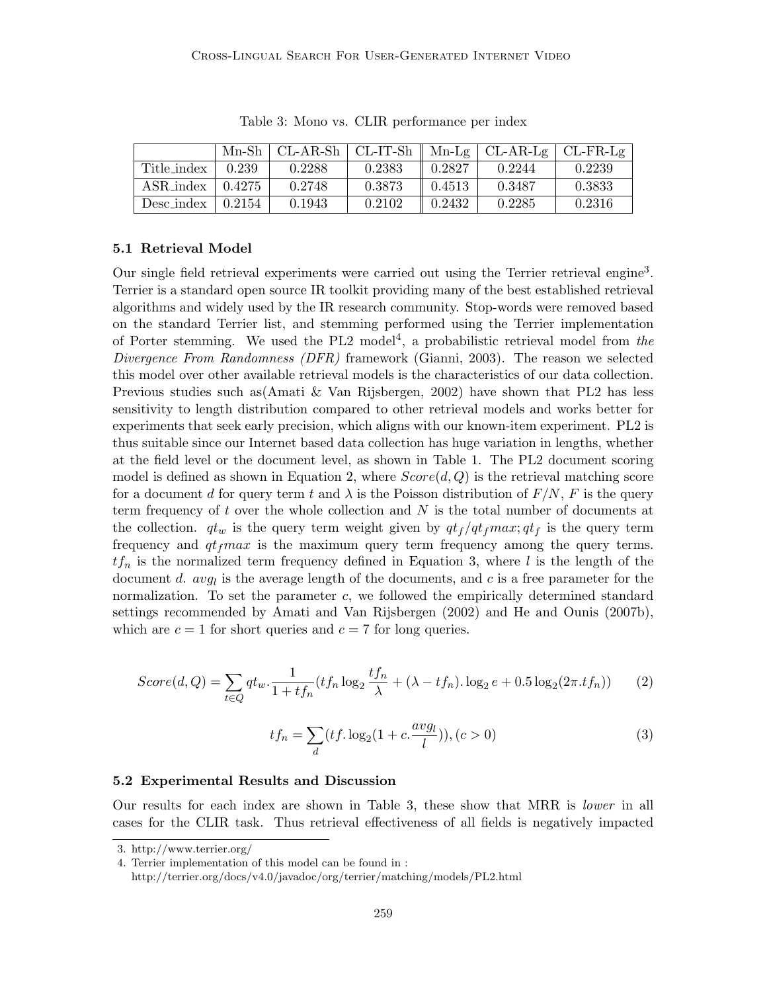|             | $Mn-Sh$ | $CL-AR-Sh$ $CL-IT-Sh$ |        |        | $Mn-Lg$   CL-AR-Lg | $\vert$ CL-FR-Lg |
|-------------|---------|-----------------------|--------|--------|--------------------|------------------|
| Title_index | 0.239   | 0.2288                | 0.2383 | 0.2827 | 0.2244             | 0.2239           |
| ASR_index   | 0.4275  | 0.2748                | 0.3873 | 0.4513 | 0.3487             | 0.3833           |
| Desc_index  | 0.2154  | 0.1943                | 0.2102 | 0.2432 | 0.2285             | 0.2316           |

Table 3: Mono vs. CLIR performance per index

# 5.1 Retrieval Model

Our single field retrieval experiments were carried out using the Terrier retrieval engine<sup>3</sup>. Terrier is a standard open source IR toolkit providing many of the best established retrieval algorithms and widely used by the IR research community. Stop-words were removed based on the standard Terrier list, and stemming performed using the Terrier implementation of Porter stemming. We used the PL2 model<sup>4</sup>, a probabilistic retrieval model from the Divergence From Randomness (DFR) framework (Gianni, 2003). The reason we selected this model over other available retrieval models is the characteristics of our data collection. Previous studies such as(Amati & Van Rijsbergen, 2002) have shown that PL2 has less sensitivity to length distribution compared to other retrieval models and works better for experiments that seek early precision, which aligns with our known-item experiment. PL2 is thus suitable since our Internet based data collection has huge variation in lengths, whether at the field level or the document level, as shown in Table 1. The PL2 document scoring model is defined as shown in Equation 2, where  $Score(d, Q)$  is the retrieval matching score for a document d for query term t and  $\lambda$  is the Poisson distribution of  $F/N$ , F is the query term frequency of t over the whole collection and  $N$  is the total number of documents at the collection.  $qt_w$  is the query term weight given by  $qt_f /qt_f max; qt_f$  is the query term frequency and  $qt_f max$  is the maximum query term frequency among the query terms.  $tf_n$  is the normalized term frequency defined in Equation 3, where l is the length of the document d.  $avg_l$  is the average length of the documents, and c is a free parameter for the normalization. To set the parameter c, we followed the empirically determined standard settings recommended by Amati and Van Rijsbergen (2002) and He and Ounis (2007b), which are  $c = 1$  for short queries and  $c = 7$  for long queries.

$$
Score(d,Q) = \sum_{t \in Q} qt_w \cdot \frac{1}{1 + tf_n}(tf_n \log_2 \frac{tf_n}{\lambda} + (\lambda - tf_n) \cdot \log_2 e + 0.5 \log_2(2\pi \cdot tf_n))
$$
 (2)

$$
tf_n = \sum_{d} (tf. \log_2(1 + c. \frac{avg_l}{l})), (c > 0)
$$
\n(3)

#### 5.2 Experimental Results and Discussion

Our results for each index are shown in Table 3, these show that MRR is lower in all cases for the CLIR task. Thus retrieval effectiveness of all fields is negatively impacted

<sup>3.</sup> http://www.terrier.org/

<sup>4.</sup> Terrier implementation of this model can be found in :

http://terrier.org/docs/v4.0/javadoc/org/terrier/matching/models/PL2.html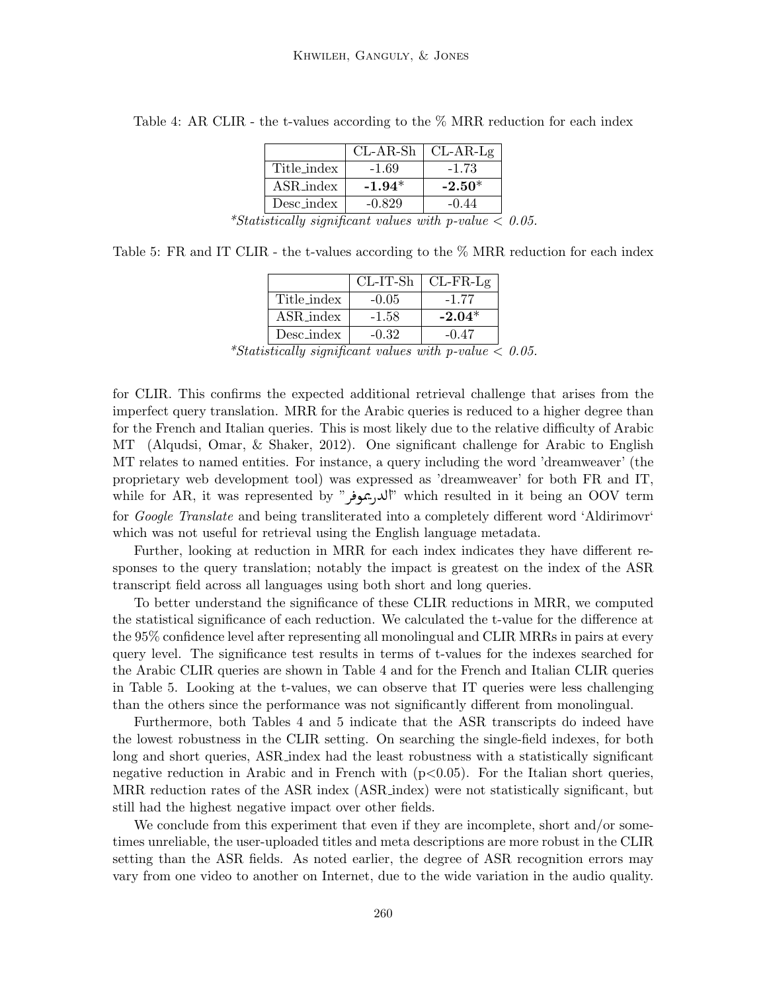|             | $CL-AR-Sh$ | $CL-AR-Lg$ |
|-------------|------------|------------|
| Title_index | $-1.69$    | $-1.73$    |
| ASR_index   | $-1.94*$   | $-2.50*$   |
| Desc_index  | $-0.829$   | $-0.44$    |

Table 4: AR CLIR - the t-values according to the  $\%$  MRR reduction for each index

Table 5: FR and IT CLIR - the t-values according to the  $\%$  MRR reduction for each index

|             |         | $CL-IT-Sh$ $CL-FR-Lg$ |
|-------------|---------|-----------------------|
| Title_index | $-0.05$ | $-1.77$               |
| ASR_index   | $-1.58$ | $-2.04*$              |
| Desc_index  | $-0.32$ | $-0.47$               |

\*Statistically significant values with p-value  $< 0.05$ .

for CLIR. This confirms the expected additional retrieval challenge that arises from the imperfect query translation. MRR for the Arabic queries is reduced to a higher degree than for the French and Italian queries. This is most likely due to the relative difficulty of Arabic MT (Alqudsi, Omar, & Shaker, 2012). One significant challenge for Arabic to English MT relates to named entities. For instance, a query including the word 'dreamweaver' (the proprietary web development tool) was expressed as 'dreamweaver' for both FR and IT, proprietary web development toor) was expressed as dreamweaver for both FR and H,<br>"الله, يموفر" which resulted in it being an OOV term ֦ for *Google Translate* and being transliterated into a completely different word 'Aldirimovr' which was not useful for retrieval using the English language metadata.

Further, looking at reduction in MRR for each index indicates they have different responses to the query translation; notably the impact is greatest on the index of the ASR transcript field across all languages using both short and long queries.

To better understand the significance of these CLIR reductions in MRR, we computed the statistical significance of each reduction. We calculated the t-value for the difference at the 95% confidence level after representing all monolingual and CLIR MRRs in pairs at every query level. The significance test results in terms of t-values for the indexes searched for the Arabic CLIR queries are shown in Table 4 and for the French and Italian CLIR queries in Table 5. Looking at the t-values, we can observe that IT queries were less challenging than the others since the performance was not significantly different from monolingual.

Furthermore, both Tables 4 and 5 indicate that the ASR transcripts do indeed have the lowest robustness in the CLIR setting. On searching the single-field indexes, for both long and short queries, ASR index had the least robustness with a statistically significant negative reduction in Arabic and in French with  $(p<0.05)$ . For the Italian short queries, MRR reduction rates of the ASR index (ASR index) were not statistically significant, but still had the highest negative impact over other fields.

We conclude from this experiment that even if they are incomplete, short and/or sometimes unreliable, the user-uploaded titles and meta descriptions are more robust in the CLIR setting than the ASR fields. As noted earlier, the degree of ASR recognition errors may vary from one video to another on Internet, due to the wide variation in the audio quality.

<sup>\*</sup>Statistically significant values with p-value  $< 0.05$ .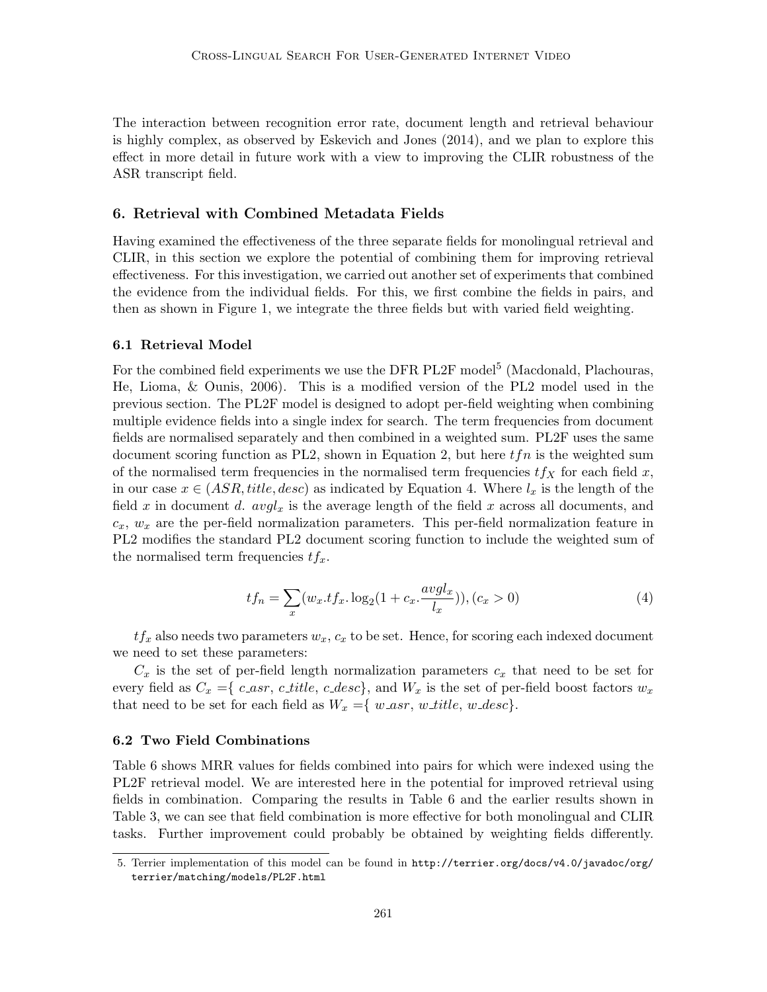The interaction between recognition error rate, document length and retrieval behaviour is highly complex, as observed by Eskevich and Jones (2014), and we plan to explore this effect in more detail in future work with a view to improving the CLIR robustness of the ASR transcript field.

# 6. Retrieval with Combined Metadata Fields

Having examined the effectiveness of the three separate fields for monolingual retrieval and CLIR, in this section we explore the potential of combining them for improving retrieval effectiveness. For this investigation, we carried out another set of experiments that combined the evidence from the individual fields. For this, we first combine the fields in pairs, and then as shown in Figure 1, we integrate the three fields but with varied field weighting.

#### 6.1 Retrieval Model

For the combined field experiments we use the DFR PL2F model<sup>5</sup> (Macdonald, Plachouras, He, Lioma, & Ounis, 2006). This is a modified version of the PL2 model used in the previous section. The PL2F model is designed to adopt per-field weighting when combining multiple evidence fields into a single index for search. The term frequencies from document fields are normalised separately and then combined in a weighted sum. PL2F uses the same document scoring function as PL2, shown in Equation 2, but here  $tfn$  is the weighted sum of the normalised term frequencies in the normalised term frequencies  $tf<sub>X</sub>$  for each field x, in our case  $x \in (ASR, title, desc)$  as indicated by Equation 4. Where  $l_x$  is the length of the field x in document d.  $avgl_x$  is the average length of the field x across all documents, and  $c_x, w_x$  are the per-field normalization parameters. This per-field normalization feature in PL2 modifies the standard PL2 document scoring function to include the weighted sum of the normalised term frequencies  $tf_x$ .

$$
tf_n = \sum_{x} (w_x. tf_x. \log_2(1 + c_x. \frac{avgl_x}{l_x})), (c_x > 0)
$$
 (4)

 $tf_x$  also needs two parameters  $w_x$ ,  $c_x$  to be set. Hence, for scoring each indexed document we need to set these parameters:

 $C_x$  is the set of per-field length normalization parameters  $c_x$  that need to be set for every field as  $C_x = \{c\_asr, c\_title, c\_desc\}$ , and  $W_x$  is the set of per-field boost factors  $w_x$ that need to be set for each field as  $W_x = \{ w\_{asr}, w\_{title}, w\_{desc} \}.$ 

#### 6.2 Two Field Combinations

Table 6 shows MRR values for fields combined into pairs for which were indexed using the PL2F retrieval model. We are interested here in the potential for improved retrieval using fields in combination. Comparing the results in Table 6 and the earlier results shown in Table 3, we can see that field combination is more effective for both monolingual and CLIR tasks. Further improvement could probably be obtained by weighting fields differently.

<sup>5.</sup> Terrier implementation of this model can be found in http://terrier.org/docs/v4.0/javadoc/org/ terrier/matching/models/PL2F.html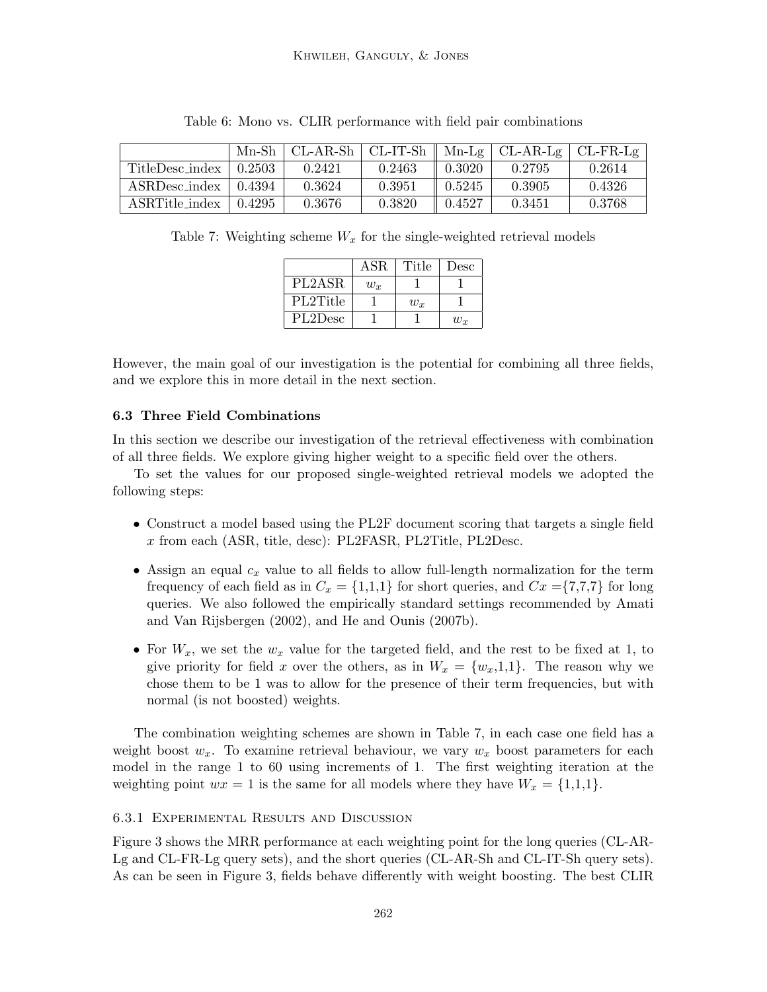|                      | Mn-Sh∣ |        |        |        | CL-AR-Sh   CL-IT-Sh    Mn-Lg   CL-AR-Lg   CL-FR-Lg |        |
|----------------------|--------|--------|--------|--------|----------------------------------------------------|--------|
| TitleDesc_index      | 0.2503 | 0.2421 | 0.2463 | 0.3020 | 0.2795                                             | 0.2614 |
| <b>ASRDesc_index</b> | 0.4394 | 0.3624 | 0.3951 | 0.5245 | 0.3905                                             | 0.4326 |
| ASRTitle_index       | 0.4295 | 0.3676 | 0.3820 | 0.4527 | 0.3451                                             | 0.3768 |

Table 6: Mono vs. CLIR performance with field pair combinations

Table 7: Weighting scheme  $W_x$  for the single-weighted retrieval models

|          | <b>ASR</b> | Title | Desc  |
|----------|------------|-------|-------|
| PL2ASR   | $w_x$      |       |       |
| PL2Title |            | $w_x$ |       |
| PL2Desc  |            |       | $w_x$ |

However, the main goal of our investigation is the potential for combining all three fields, and we explore this in more detail in the next section.

# 6.3 Three Field Combinations

In this section we describe our investigation of the retrieval effectiveness with combination of all three fields. We explore giving higher weight to a specific field over the others.

To set the values for our proposed single-weighted retrieval models we adopted the following steps:

- Construct a model based using the PL2F document scoring that targets a single field x from each (ASR, title, desc): PL2FASR, PL2Title, PL2Desc.
- Assign an equal  $c_x$  value to all fields to allow full-length normalization for the term frequency of each field as in  $C_x = \{1,1,1\}$  for short queries, and  $Cx = \{7,7,7\}$  for long queries. We also followed the empirically standard settings recommended by Amati and Van Rijsbergen (2002), and He and Ounis (2007b).
- For  $W_x$ , we set the  $w_x$  value for the targeted field, and the rest to be fixed at 1, to give priority for field x over the others, as in  $W_x = \{w_x, 1, 1\}$ . The reason why we chose them to be 1 was to allow for the presence of their term frequencies, but with normal (is not boosted) weights.

The combination weighting schemes are shown in Table 7, in each case one field has a weight boost  $w_x$ . To examine retrieval behaviour, we vary  $w_x$  boost parameters for each model in the range 1 to 60 using increments of 1. The first weighting iteration at the weighting point  $wx = 1$  is the same for all models where they have  $W_x = \{1,1,1\}.$ 

### 6.3.1 Experimental Results and Discussion

Figure 3 shows the MRR performance at each weighting point for the long queries (CL-AR-Lg and CL-FR-Lg query sets), and the short queries (CL-AR-Sh and CL-IT-Sh query sets). As can be seen in Figure 3, fields behave differently with weight boosting. The best CLIR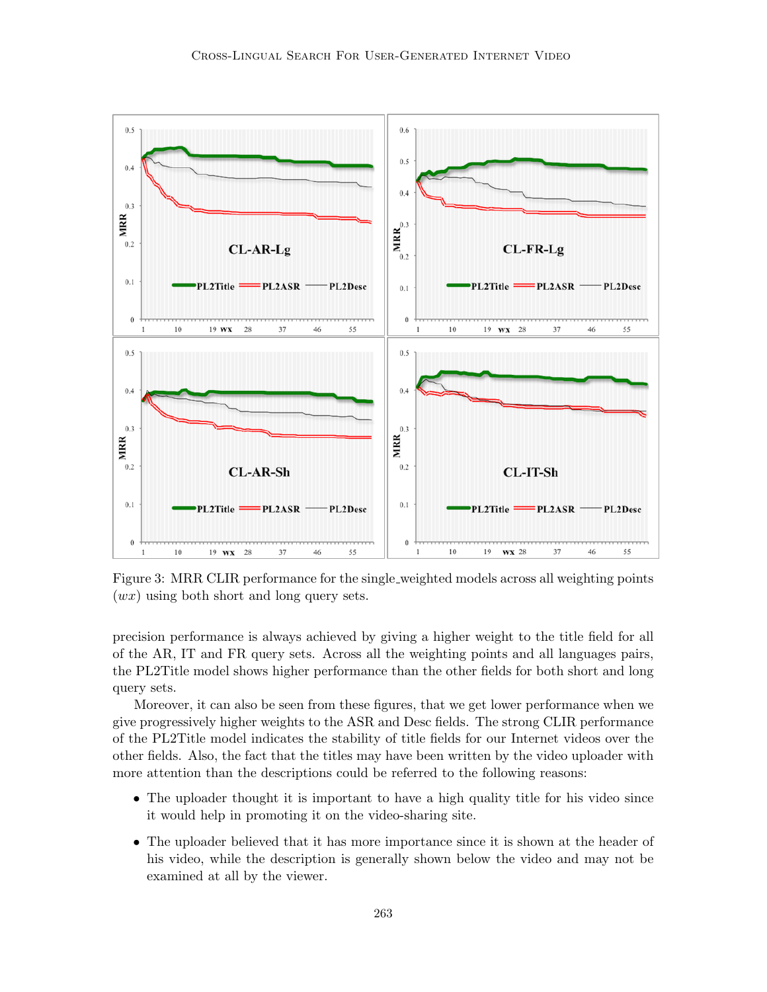

Figure 3: MRR CLIR performance for the single weighted models across all weighting points  $(wx)$  using both short and long query sets.

precision performance is always achieved by giving a higher weight to the title field for all of the AR, IT and FR query sets. Across all the weighting points and all languages pairs, the PL2Title model shows higher performance than the other fields for both short and long query sets.

Moreover, it can also be seen from these figures, that we get lower performance when we give progressively higher weights to the ASR and Desc fields. The strong CLIR performance of the PL2Title model indicates the stability of title fields for our Internet videos over the other fields. Also, the fact that the titles may have been written by the video uploader with more attention than the descriptions could be referred to the following reasons:

- The uploader thought it is important to have a high quality title for his video since it would help in promoting it on the video-sharing site.
- The uploader believed that it has more importance since it is shown at the header of his video, while the description is generally shown below the video and may not be examined at all by the viewer.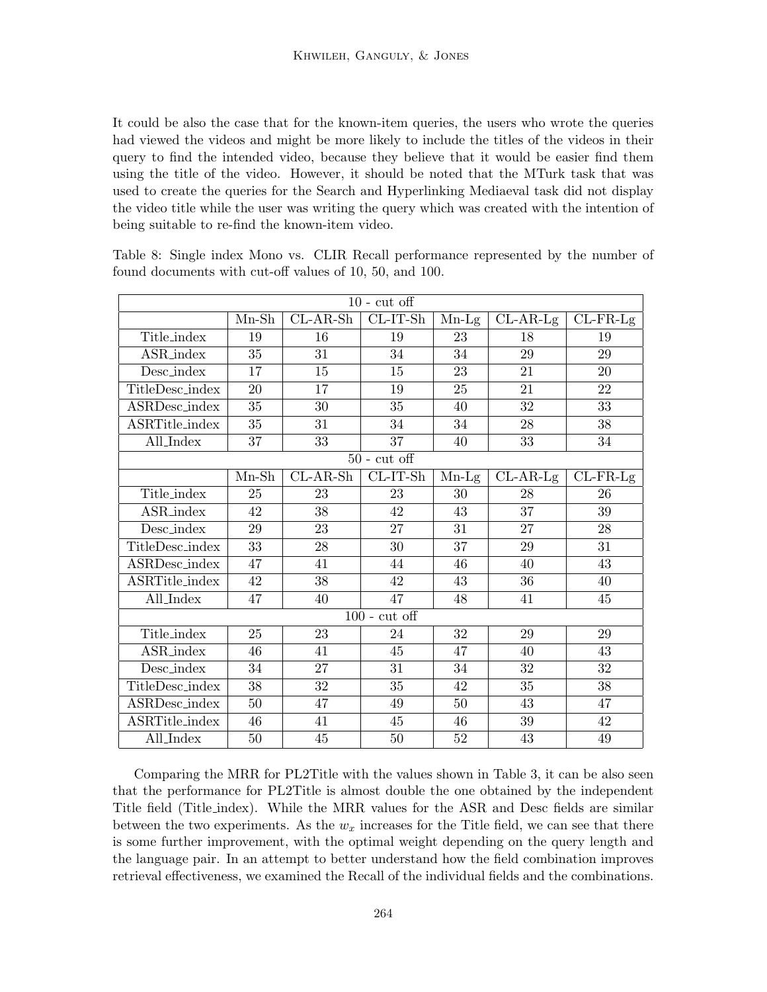It could be also the case that for the known-item queries, the users who wrote the queries had viewed the videos and might be more likely to include the titles of the videos in their query to find the intended video, because they believe that it would be easier find them using the title of the video. However, it should be noted that the MTurk task that was used to create the queries for the Search and Hyperlinking Mediaeval task did not display the video title while the user was writing the query which was created with the intention of being suitable to re-find the known-item video.

| $10$ - cut off   |         |            |                  |         |            |                    |
|------------------|---------|------------|------------------|---------|------------|--------------------|
|                  | $Mn-Sh$ | $CL-AR-Sh$ | $CL-IT-Sh$       | $Mn-Lg$ | $CL-AR-Lg$ | $CL$ - $FR$ - $Lg$ |
| Title_index      | 19      | 16         | 19               | 23      | 18         | 19                 |
| <b>ASR_index</b> | 35      | 31         | 34               | 34      | 29         | 29                 |
| Desc_index       | 17      | 15         | 15               | 23      | 21         | 20                 |
| TitleDesc_index  | 20      | 17         | 19               | 25      | 21         | $22\,$             |
| ASRDesc_index    | 35      | 30         | 35               | 40      | 32         | 33                 |
| ASRTitle_index   | 35      | 31         | $34\,$           | $34\,$  | $28\,$     | $38\,$             |
| All_Index        | 37      | 33         | 37               | 40      | 33         | 34                 |
|                  |         |            | $50$ - $cut$ off |         |            |                    |
|                  | $Mn-Sh$ | $CL-AR-Sh$ | $CL-IT-Sh$       | $Mn-Lg$ | $CL-AR-Lg$ | $CL$ - $FR$ - $Lg$ |
| Title_index      | 25      | 23         | 23               | 30      | 28         | 26                 |
| <b>ASR_index</b> | 42      | 38         | 42               | 43      | 37         | 39                 |
| Desc_index       | 29      | 23         | 27               | 31      | 27         | 28                 |
| TitleDesc_index  | 33      | 28         | 30               | 37      | $\,29$     | 31                 |
| ASRDesc_index    | 47      | 41         | 44               | 46      | 40         | 43                 |
| ASRTitle_index   | 42      | 38         | 42               | 43      | 36         | 40                 |
| All_Index        | 47      | 40         | 47               | 48      | 41         | 45                 |
|                  |         |            | $100$ - cut off  |         |            |                    |
| Title_index      | 25      | 23         | 24               | 32      | 29         | 29                 |
| <b>ASR_index</b> | 46      | 41         | 45               | 47      | 40         | 43                 |
| Desc_index       | 34      | 27         | 31               | 34      | 32         | $32\,$             |
| TitleDesc_index  | 38      | 32         | 35               | 42      | 35         | 38                 |
| ASRDesc_index    | 50      | 47         | 49               | 50      | 43         | 47                 |
| ASRTitle_index   | 46      | 41         | 45               | 46      | $39\,$     | 42                 |
| All_Index        | 50      | 45         | 50               | 52      | 43         | 49                 |

Table 8: Single index Mono vs. CLIR Recall performance represented by the number of found documents with cut-off values of 10, 50, and 100.

Comparing the MRR for PL2Title with the values shown in Table 3, it can be also seen that the performance for PL2Title is almost double the one obtained by the independent Title field (Title index). While the MRR values for the ASR and Desc fields are similar between the two experiments. As the  $w_x$  increases for the Title field, we can see that there is some further improvement, with the optimal weight depending on the query length and the language pair. In an attempt to better understand how the field combination improves retrieval effectiveness, we examined the Recall of the individual fields and the combinations.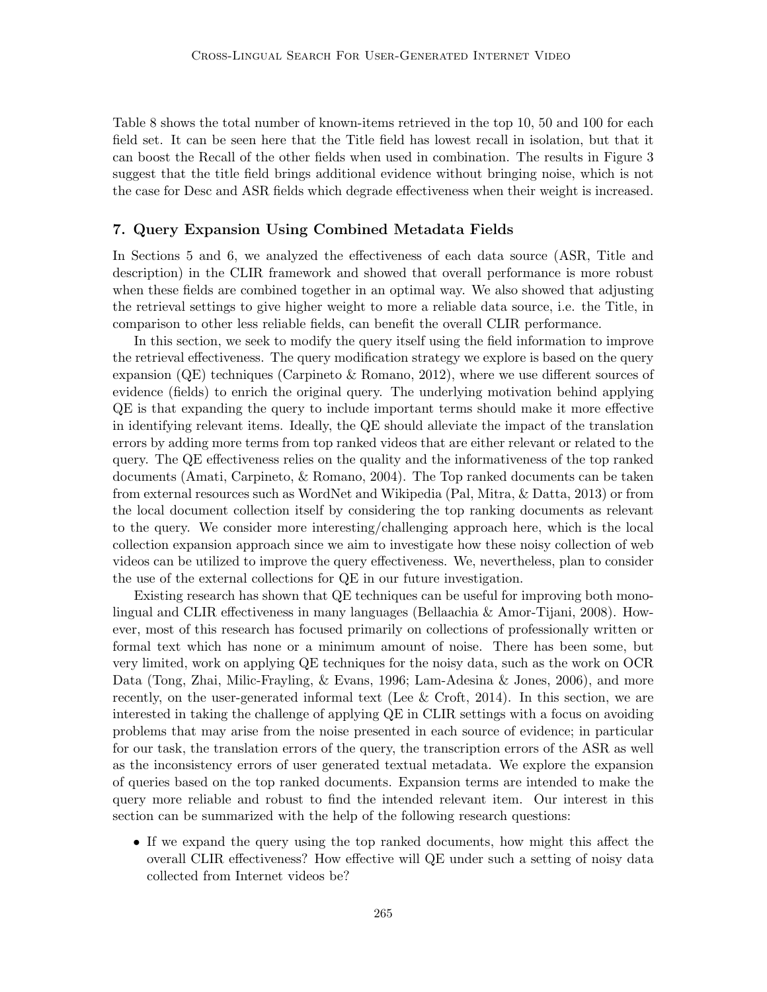Table 8 shows the total number of known-items retrieved in the top 10, 50 and 100 for each field set. It can be seen here that the Title field has lowest recall in isolation, but that it can boost the Recall of the other fields when used in combination. The results in Figure 3 suggest that the title field brings additional evidence without bringing noise, which is not the case for Desc and ASR fields which degrade effectiveness when their weight is increased.

# 7. Query Expansion Using Combined Metadata Fields

In Sections 5 and 6, we analyzed the effectiveness of each data source (ASR, Title and description) in the CLIR framework and showed that overall performance is more robust when these fields are combined together in an optimal way. We also showed that adjusting the retrieval settings to give higher weight to more a reliable data source, i.e. the Title, in comparison to other less reliable fields, can benefit the overall CLIR performance.

In this section, we seek to modify the query itself using the field information to improve the retrieval effectiveness. The query modification strategy we explore is based on the query expansion (QE) techniques (Carpineto & Romano, 2012), where we use different sources of evidence (fields) to enrich the original query. The underlying motivation behind applying QE is that expanding the query to include important terms should make it more effective in identifying relevant items. Ideally, the QE should alleviate the impact of the translation errors by adding more terms from top ranked videos that are either relevant or related to the query. The QE effectiveness relies on the quality and the informativeness of the top ranked documents (Amati, Carpineto, & Romano, 2004). The Top ranked documents can be taken from external resources such as WordNet and Wikipedia (Pal, Mitra, & Datta, 2013) or from the local document collection itself by considering the top ranking documents as relevant to the query. We consider more interesting/challenging approach here, which is the local collection expansion approach since we aim to investigate how these noisy collection of web videos can be utilized to improve the query effectiveness. We, nevertheless, plan to consider the use of the external collections for QE in our future investigation.

Existing research has shown that QE techniques can be useful for improving both monolingual and CLIR effectiveness in many languages (Bellaachia & Amor-Tijani, 2008). However, most of this research has focused primarily on collections of professionally written or formal text which has none or a minimum amount of noise. There has been some, but very limited, work on applying QE techniques for the noisy data, such as the work on OCR Data (Tong, Zhai, Milic-Frayling, & Evans, 1996; Lam-Adesina & Jones, 2006), and more recently, on the user-generated informal text (Lee & Croft, 2014). In this section, we are interested in taking the challenge of applying QE in CLIR settings with a focus on avoiding problems that may arise from the noise presented in each source of evidence; in particular for our task, the translation errors of the query, the transcription errors of the ASR as well as the inconsistency errors of user generated textual metadata. We explore the expansion of queries based on the top ranked documents. Expansion terms are intended to make the query more reliable and robust to find the intended relevant item. Our interest in this section can be summarized with the help of the following research questions:

• If we expand the query using the top ranked documents, how might this affect the overall CLIR effectiveness? How effective will QE under such a setting of noisy data collected from Internet videos be?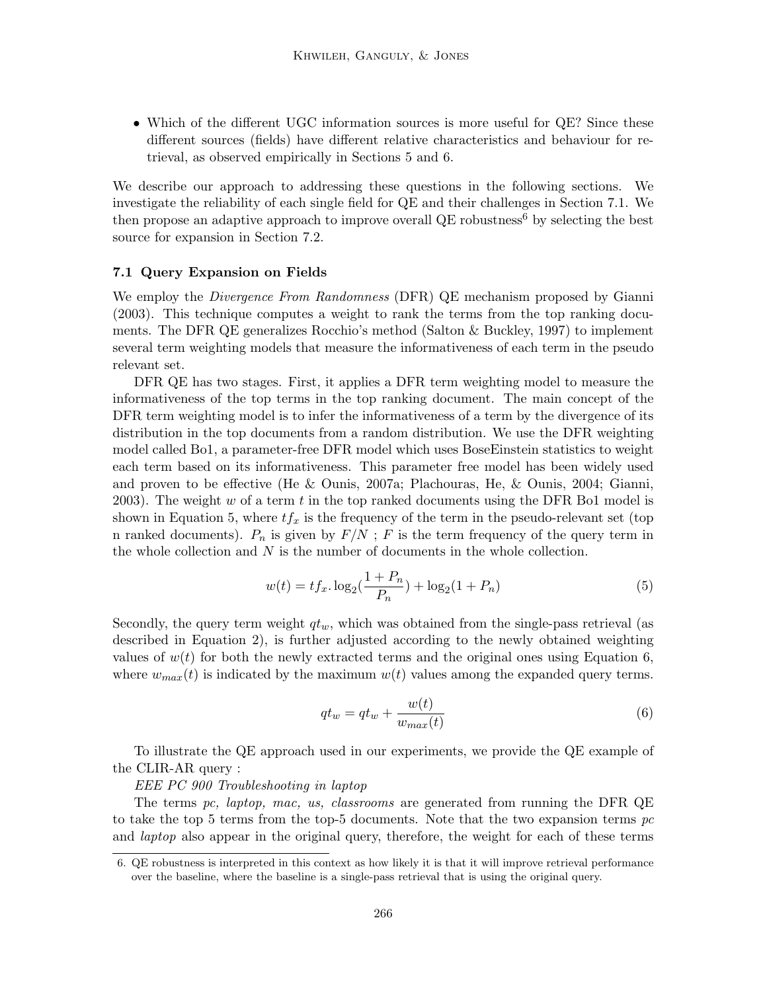• Which of the different UGC information sources is more useful for QE? Since these different sources (fields) have different relative characteristics and behaviour for retrieval, as observed empirically in Sections 5 and 6.

We describe our approach to addressing these questions in the following sections. We investigate the reliability of each single field for QE and their challenges in Section 7.1. We then propose an adaptive approach to improve overall  $QE$  robustness<sup>6</sup> by selecting the best source for expansion in Section 7.2.

### 7.1 Query Expansion on Fields

We employ the *Divergence From Randomness* (DFR) QE mechanism proposed by Gianni (2003). This technique computes a weight to rank the terms from the top ranking documents. The DFR QE generalizes Rocchio's method (Salton & Buckley, 1997) to implement several term weighting models that measure the informativeness of each term in the pseudo relevant set.

DFR QE has two stages. First, it applies a DFR term weighting model to measure the informativeness of the top terms in the top ranking document. The main concept of the DFR term weighting model is to infer the informativeness of a term by the divergence of its distribution in the top documents from a random distribution. We use the DFR weighting model called Bo1, a parameter-free DFR model which uses BoseEinstein statistics to weight each term based on its informativeness. This parameter free model has been widely used and proven to be effective (He & Ounis, 2007a; Plachouras, He, & Ounis, 2004; Gianni, 2003). The weight  $w$  of a term  $t$  in the top ranked documents using the DFR Bo1 model is shown in Equation 5, where  $tf_x$  is the frequency of the term in the pseudo-relevant set (top n ranked documents).  $P_n$  is given by  $F/N$ ; F is the term frequency of the query term in the whole collection and  $N$  is the number of documents in the whole collection.

$$
w(t) = tf_x \cdot \log_2(\frac{1+P_n}{P_n}) + \log_2(1+P_n)
$$
\n(5)

Secondly, the query term weight  $q_t$ , which was obtained from the single-pass retrieval (as described in Equation 2), is further adjusted according to the newly obtained weighting values of  $w(t)$  for both the newly extracted terms and the original ones using Equation 6, where  $w_{max}(t)$  is indicated by the maximum  $w(t)$  values among the expanded query terms.

$$
qt_w = qt_w + \frac{w(t)}{w_{max}(t)}
$$
\n(6)

To illustrate the QE approach used in our experiments, we provide the QE example of the CLIR-AR query :

### EEE PC 900 Troubleshooting in laptop

The terms pc, laptop, mac, us, classrooms are generated from running the DFR QE to take the top 5 terms from the top-5 documents. Note that the two expansion terms  $pc$ and *laptop* also appear in the original query, therefore, the weight for each of these terms

<sup>6.</sup> QE robustness is interpreted in this context as how likely it is that it will improve retrieval performance over the baseline, where the baseline is a single-pass retrieval that is using the original query.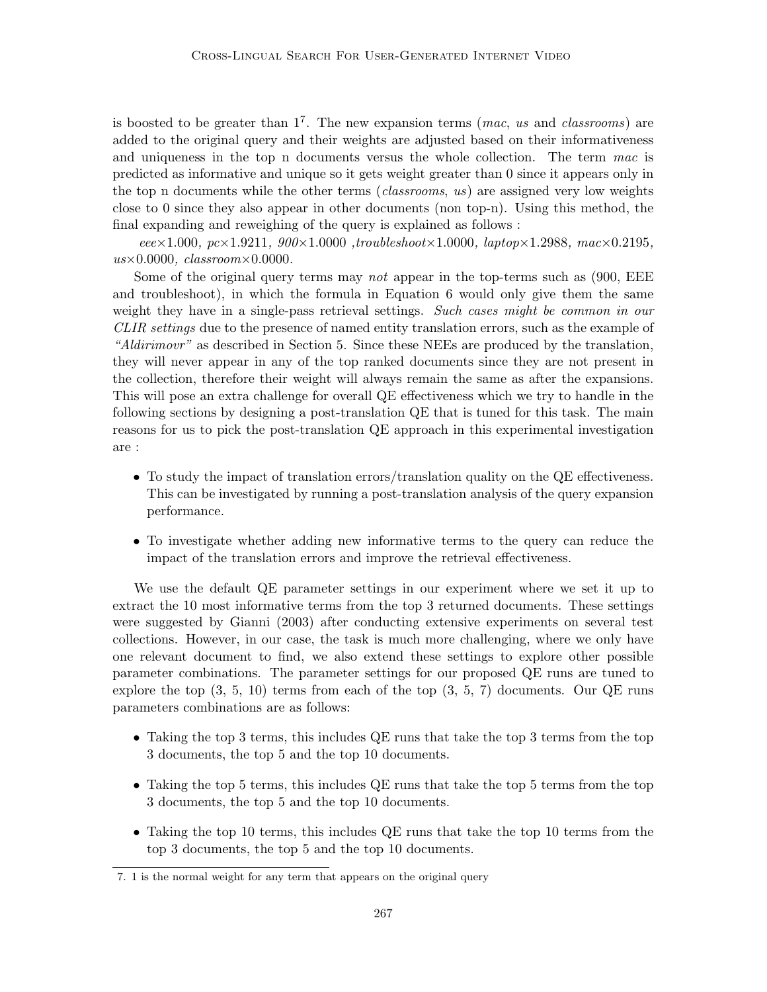is boosted to be greater than  $1^7$ . The new expansion terms (*mac*, us and *classrooms*) are added to the original query and their weights are adjusted based on their informativeness and uniqueness in the top n documents versus the whole collection. The term  $mac$  is predicted as informative and unique so it gets weight greater than 0 since it appears only in the top n documents while the other terms *(classrooms, us)* are assigned very low weights close to 0 since they also appear in other documents (non top-n). Using this method, the final expanding and reweighing of the query is explained as follows :

 $eee \times 1.000$ ,  $pc \times 1.9211$ ,  $900 \times 1.0000$ , troubleshoot $\times 1.0000$ , laptop $\times 1.2988$ , mac $\times 0.2195$ ,  $us \times 0.0000$ , classroom $\times 0.0000$ .

Some of the original query terms may *not* appear in the top-terms such as (900, EEE) and troubleshoot), in which the formula in Equation 6 would only give them the same weight they have in a single-pass retrieval settings. Such cases might be common in our CLIR settings due to the presence of named entity translation errors, such as the example of "Aldirimovr" as described in Section 5. Since these NEEs are produced by the translation, they will never appear in any of the top ranked documents since they are not present in the collection, therefore their weight will always remain the same as after the expansions. This will pose an extra challenge for overall QE effectiveness which we try to handle in the following sections by designing a post-translation QE that is tuned for this task. The main reasons for us to pick the post-translation QE approach in this experimental investigation are :

- To study the impact of translation errors/translation quality on the QE effectiveness. This can be investigated by running a post-translation analysis of the query expansion performance.
- To investigate whether adding new informative terms to the query can reduce the impact of the translation errors and improve the retrieval effectiveness.

We use the default QE parameter settings in our experiment where we set it up to extract the 10 most informative terms from the top 3 returned documents. These settings were suggested by Gianni (2003) after conducting extensive experiments on several test collections. However, in our case, the task is much more challenging, where we only have one relevant document to find, we also extend these settings to explore other possible parameter combinations. The parameter settings for our proposed QE runs are tuned to explore the top  $(3, 5, 10)$  terms from each of the top  $(3, 5, 7)$  documents. Our QE runs parameters combinations are as follows:

- Taking the top 3 terms, this includes QE runs that take the top 3 terms from the top 3 documents, the top 5 and the top 10 documents.
- Taking the top 5 terms, this includes QE runs that take the top 5 terms from the top 3 documents, the top 5 and the top 10 documents.
- Taking the top 10 terms, this includes QE runs that take the top 10 terms from the top 3 documents, the top 5 and the top 10 documents.

<sup>7. 1</sup> is the normal weight for any term that appears on the original query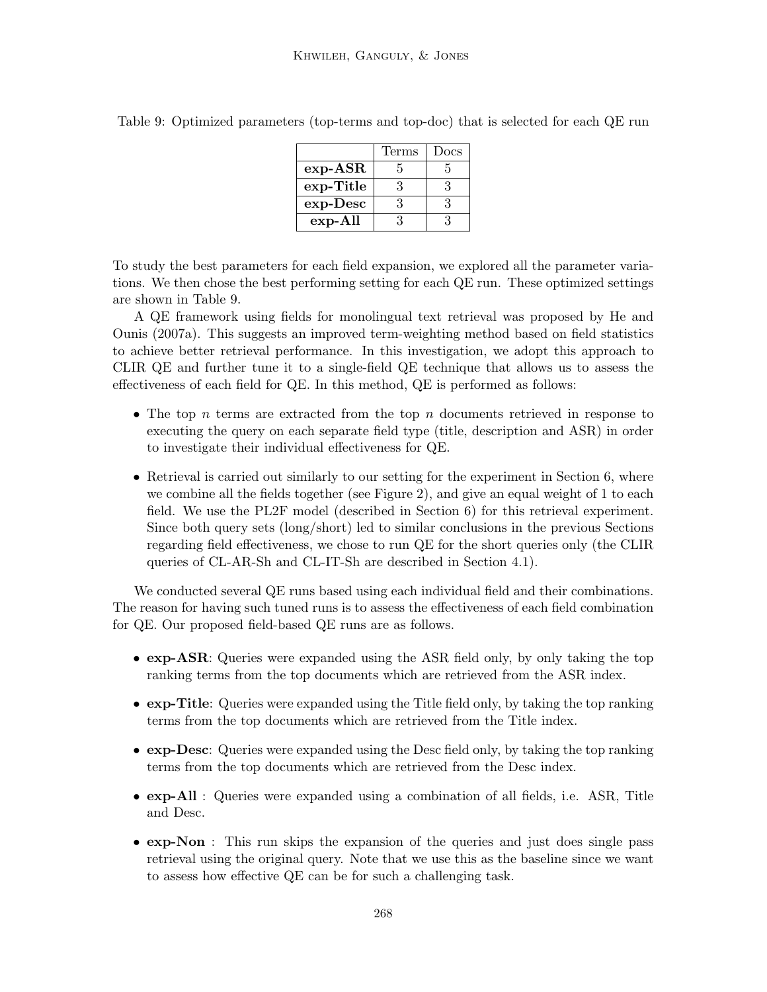|            | Terms | Docs          |
|------------|-------|---------------|
| $exp-ASR$  | 5     | 5             |
| exp-Title  | 3     | 3             |
| $exp-Desc$ | З     | $\mathcal{R}$ |
| $exp-All$  | ર     | 3             |

Table 9: Optimized parameters (top-terms and top-doc) that is selected for each QE run

To study the best parameters for each field expansion, we explored all the parameter variations. We then chose the best performing setting for each QE run. These optimized settings are shown in Table 9.

A QE framework using fields for monolingual text retrieval was proposed by He and Ounis (2007a). This suggests an improved term-weighting method based on field statistics to achieve better retrieval performance. In this investigation, we adopt this approach to CLIR QE and further tune it to a single-field QE technique that allows us to assess the effectiveness of each field for QE. In this method, QE is performed as follows:

- The top n terms are extracted from the top n documents retrieved in response to executing the query on each separate field type (title, description and ASR) in order to investigate their individual effectiveness for QE.
- Retrieval is carried out similarly to our setting for the experiment in Section 6, where we combine all the fields together (see Figure 2), and give an equal weight of 1 to each field. We use the PL2F model (described in Section 6) for this retrieval experiment. Since both query sets (long/short) led to similar conclusions in the previous Sections regarding field effectiveness, we chose to run QE for the short queries only (the CLIR queries of CL-AR-Sh and CL-IT-Sh are described in Section 4.1).

We conducted several QE runs based using each individual field and their combinations. The reason for having such tuned runs is to assess the effectiveness of each field combination for QE. Our proposed field-based QE runs are as follows.

- exp-ASR: Queries were expanded using the ASR field only, by only taking the top ranking terms from the top documents which are retrieved from the ASR index.
- exp-Title: Queries were expanded using the Title field only, by taking the top ranking terms from the top documents which are retrieved from the Title index.
- exp-Desc: Queries were expanded using the Desc field only, by taking the top ranking terms from the top documents which are retrieved from the Desc index.
- exp-All : Queries were expanded using a combination of all fields, i.e. ASR, Title and Desc.
- exp-Non : This run skips the expansion of the queries and just does single pass retrieval using the original query. Note that we use this as the baseline since we want to assess how effective QE can be for such a challenging task.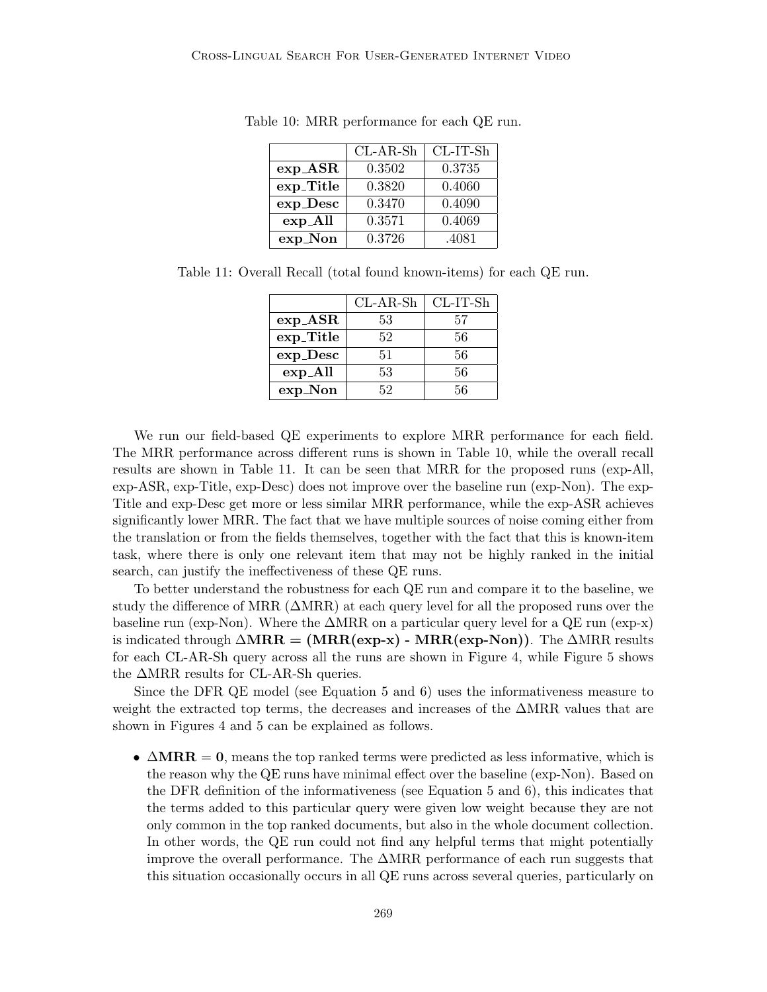|             | $CL-AR-Sh$ | $CL-IT-Sh$ |
|-------------|------------|------------|
| $exp\_ASR$  | 0.3502     | 0.3735     |
| exp_Title   | 0.3820     | 0.4060     |
| $exp\_Desc$ | 0.3470     | 0.4090     |
| $expA$ ll   | 0.3571     | 0.4069     |
| exp_Non     | 0.3726     | .4081      |

Table 10: MRR performance for each QE run.

Table 11: Overall Recall (total found known-items) for each QE run.

|             | $CL-AR-Sh$ | $CL-IT-Sh$ |
|-------------|------------|------------|
| $exp\_ASR$  | 53         | 57         |
| exp_Title   | 52         | 56         |
| $exp\_Desc$ | 51         | 56         |
| $expA$ ll   | 53         | 56         |
| exp_Non     | 52         | 56         |

We run our field-based QE experiments to explore MRR performance for each field. The MRR performance across different runs is shown in Table 10, while the overall recall results are shown in Table 11. It can be seen that MRR for the proposed runs (exp-All, exp-ASR, exp-Title, exp-Desc) does not improve over the baseline run (exp-Non). The exp-Title and exp-Desc get more or less similar MRR performance, while the exp-ASR achieves significantly lower MRR. The fact that we have multiple sources of noise coming either from the translation or from the fields themselves, together with the fact that this is known-item task, where there is only one relevant item that may not be highly ranked in the initial search, can justify the ineffectiveness of these QE runs.

To better understand the robustness for each QE run and compare it to the baseline, we study the difference of MRR (∆MRR) at each query level for all the proposed runs over the baseline run (exp-Non). Where the  $\triangle{MRR}$  on a particular query level for a QE run (exp-x) is indicated through  $\triangle MRR = (MRR(exp-x) - MRR(exp-Non))$ . The  $\triangle MRR$  results for each CL-AR-Sh query across all the runs are shown in Figure 4, while Figure 5 shows the ∆MRR results for CL-AR-Sh queries.

Since the DFR QE model (see Equation 5 and 6) uses the informativeness measure to weight the extracted top terms, the decreases and increases of the  $\Delta MRR$  values that are shown in Figures 4 and 5 can be explained as follows.

•  $\triangle MRR = 0$ , means the top ranked terms were predicted as less informative, which is the reason why the QE runs have minimal effect over the baseline (exp-Non). Based on the DFR definition of the informativeness (see Equation 5 and 6), this indicates that the terms added to this particular query were given low weight because they are not only common in the top ranked documents, but also in the whole document collection. In other words, the QE run could not find any helpful terms that might potentially improve the overall performance. The ∆MRR performance of each run suggests that this situation occasionally occurs in all QE runs across several queries, particularly on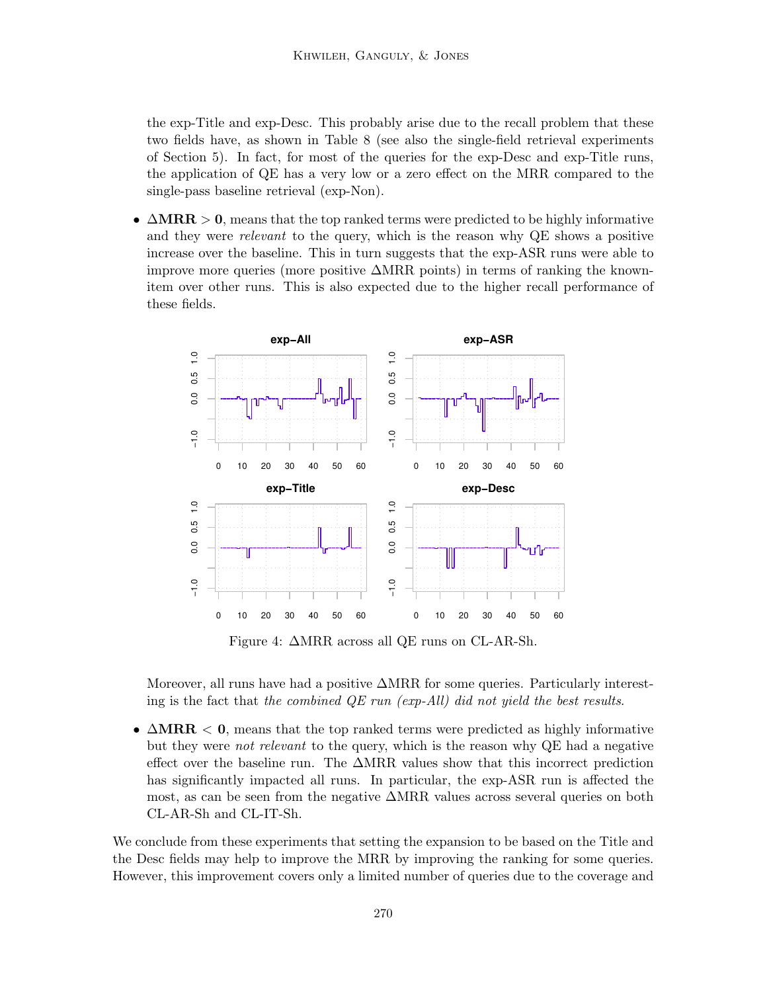the exp-Title and exp-Desc. This probably arise due to the recall problem that these two fields have, as shown in Table 8 (see also the single-field retrieval experiments of Section 5). In fact, for most of the queries for the exp-Desc and exp-Title runs, the application of QE has a very low or a zero effect on the MRR compared to the single-pass baseline retrieval (exp-Non).

•  $\Delta MRR > 0$ , means that the top ranked terms were predicted to be highly informative and they were relevant to the query, which is the reason why QE shows a positive increase over the baseline. This in turn suggests that the exp-ASR runs were able to improve more queries (more positive  $\Delta MRR$  points) in terms of ranking the knownitem over other runs. This is also expected due to the higher recall performance of these fields.



Figure 4: ∆MRR across all QE runs on CL-AR-Sh.

Moreover, all runs have had a positive  $\triangle{MRR}$  for some queries. Particularly interesting is the fact that the combined  $QE$  run (exp-All) did not yield the best results.

•  $\triangle MRR < 0$ , means that the top ranked terms were predicted as highly informative but they were not relevant to the query, which is the reason why QE had a negative effect over the baseline run. The ∆MRR values show that this incorrect prediction has significantly impacted all runs. In particular, the exp-ASR run is affected the most, as can be seen from the negative ∆MRR values across several queries on both CL-AR-Sh and CL-IT-Sh.

We conclude from these experiments that setting the expansion to be based on the Title and the Desc fields may help to improve the MRR by improving the ranking for some queries. However, this improvement covers only a limited number of queries due to the coverage and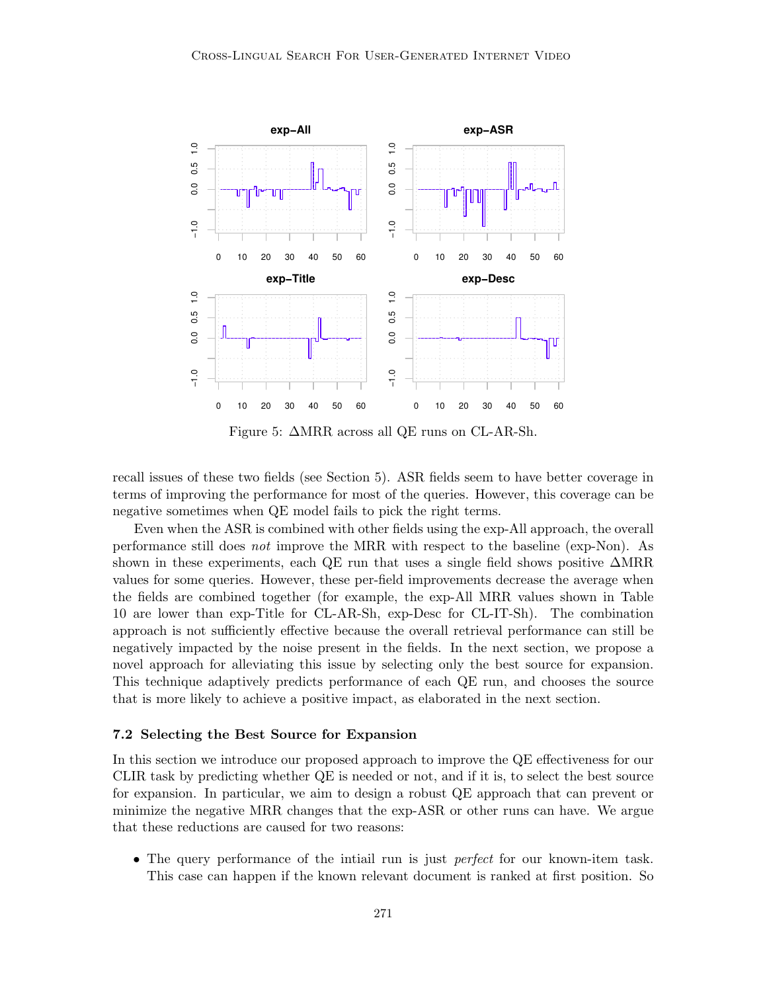

Figure 5: ∆MRR across all QE runs on CL-AR-Sh.

recall issues of these two fields (see Section 5). ASR fields seem to have better coverage in terms of improving the performance for most of the queries. However, this coverage can be negative sometimes when QE model fails to pick the right terms.

Even when the ASR is combined with other fields using the exp-All approach, the overall performance still does not improve the MRR with respect to the baseline (exp-Non). As shown in these experiments, each QE run that uses a single field shows positive ∆MRR values for some queries. However, these per-field improvements decrease the average when the fields are combined together (for example, the exp-All MRR values shown in Table 10 are lower than exp-Title for CL-AR-Sh, exp-Desc for CL-IT-Sh). The combination approach is not sufficiently effective because the overall retrieval performance can still be negatively impacted by the noise present in the fields. In the next section, we propose a novel approach for alleviating this issue by selecting only the best source for expansion. This technique adaptively predicts performance of each QE run, and chooses the source that is more likely to achieve a positive impact, as elaborated in the next section.

#### 7.2 Selecting the Best Source for Expansion

In this section we introduce our proposed approach to improve the QE effectiveness for our CLIR task by predicting whether QE is needed or not, and if it is, to select the best source for expansion. In particular, we aim to design a robust QE approach that can prevent or minimize the negative MRR changes that the exp-ASR or other runs can have. We argue that these reductions are caused for two reasons:

• The query performance of the initial run is just *perfect* for our known-item task. This case can happen if the known relevant document is ranked at first position. So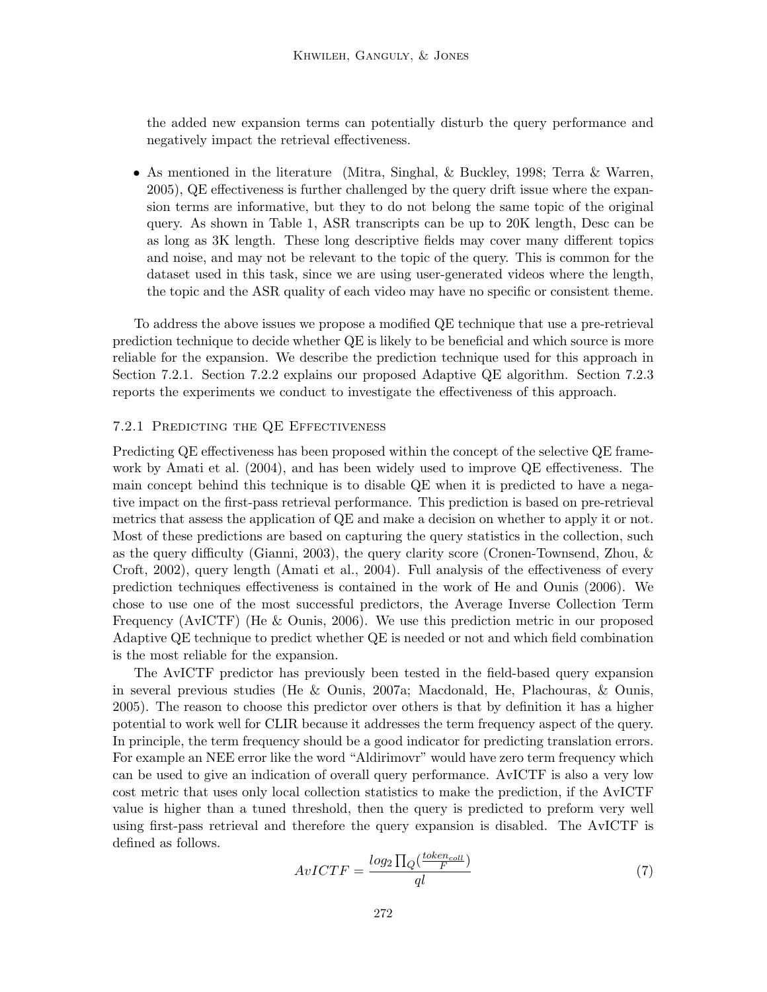the added new expansion terms can potentially disturb the query performance and negatively impact the retrieval effectiveness.

• As mentioned in the literature (Mitra, Singhal, & Buckley, 1998; Terra & Warren, 2005), QE effectiveness is further challenged by the query drift issue where the expansion terms are informative, but they to do not belong the same topic of the original query. As shown in Table 1, ASR transcripts can be up to 20K length, Desc can be as long as 3K length. These long descriptive fields may cover many different topics and noise, and may not be relevant to the topic of the query. This is common for the dataset used in this task, since we are using user-generated videos where the length, the topic and the ASR quality of each video may have no specific or consistent theme.

To address the above issues we propose a modified QE technique that use a pre-retrieval prediction technique to decide whether QE is likely to be beneficial and which source is more reliable for the expansion. We describe the prediction technique used for this approach in Section 7.2.1. Section 7.2.2 explains our proposed Adaptive QE algorithm. Section 7.2.3 reports the experiments we conduct to investigate the effectiveness of this approach.

#### 7.2.1 Predicting the QE Effectiveness

Predicting QE effectiveness has been proposed within the concept of the selective QE framework by Amati et al. (2004), and has been widely used to improve QE effectiveness. The main concept behind this technique is to disable QE when it is predicted to have a negative impact on the first-pass retrieval performance. This prediction is based on pre-retrieval metrics that assess the application of QE and make a decision on whether to apply it or not. Most of these predictions are based on capturing the query statistics in the collection, such as the query difficulty (Gianni, 2003), the query clarity score (Cronen-Townsend, Zhou, & Croft, 2002), query length (Amati et al., 2004). Full analysis of the effectiveness of every prediction techniques effectiveness is contained in the work of He and Ounis (2006). We chose to use one of the most successful predictors, the Average Inverse Collection Term Frequency (AvICTF) (He & Ounis, 2006). We use this prediction metric in our proposed Adaptive QE technique to predict whether QE is needed or not and which field combination is the most reliable for the expansion.

The AvICTF predictor has previously been tested in the field-based query expansion in several previous studies (He & Ounis, 2007a; Macdonald, He, Plachouras, & Ounis, 2005). The reason to choose this predictor over others is that by definition it has a higher potential to work well for CLIR because it addresses the term frequency aspect of the query. In principle, the term frequency should be a good indicator for predicting translation errors. For example an NEE error like the word "Aldirimovr" would have zero term frequency which can be used to give an indication of overall query performance. AvICTF is also a very low cost metric that uses only local collection statistics to make the prediction, if the AvICTF value is higher than a tuned threshold, then the query is predicted to preform very well using first-pass retrieval and therefore the query expansion is disabled. The AvICTF is defined as follows.

$$
AvICTF = \frac{log_2 \prod_Q(\frac{token_{coll}}{F})}{ql}
$$
\n<sup>(7)</sup>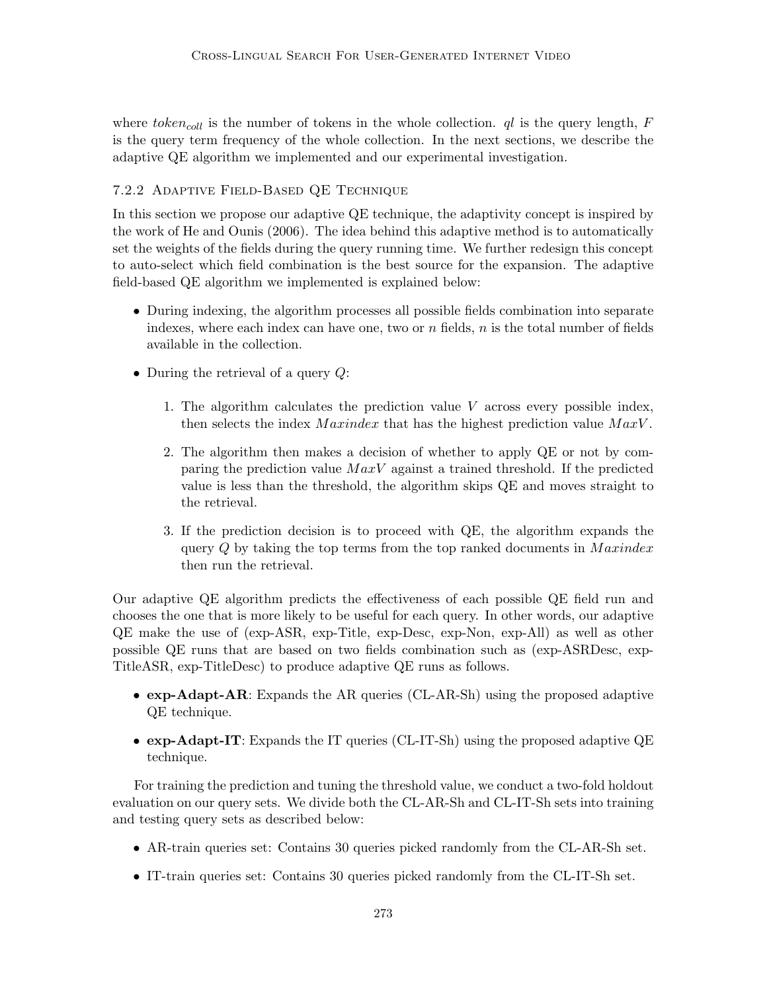where  $token_{coll}$  is the number of tokens in the whole collection.  $ql$  is the query length,  $F$ is the query term frequency of the whole collection. In the next sections, we describe the adaptive QE algorithm we implemented and our experimental investigation.

# 7.2.2 Adaptive Field-Based QE Technique

In this section we propose our adaptive QE technique, the adaptivity concept is inspired by the work of He and Ounis (2006). The idea behind this adaptive method is to automatically set the weights of the fields during the query running time. We further redesign this concept to auto-select which field combination is the best source for the expansion. The adaptive field-based QE algorithm we implemented is explained below:

- During indexing, the algorithm processes all possible fields combination into separate indexes, where each index can have one, two or  $n$  fields,  $n$  is the total number of fields available in the collection.
- During the retrieval of a query  $Q$ :
	- 1. The algorithm calculates the prediction value V across every possible index, then selects the index  $Maxindex$  that has the highest prediction value  $MaxV$ .
	- 2. The algorithm then makes a decision of whether to apply QE or not by comparing the prediction value  $MaxV$  against a trained threshold. If the predicted value is less than the threshold, the algorithm skips QE and moves straight to the retrieval.
	- 3. If the prediction decision is to proceed with QE, the algorithm expands the query  $Q$  by taking the top terms from the top ranked documents in  $Maxindex$ then run the retrieval.

Our adaptive QE algorithm predicts the effectiveness of each possible QE field run and chooses the one that is more likely to be useful for each query. In other words, our adaptive QE make the use of (exp-ASR, exp-Title, exp-Desc, exp-Non, exp-All) as well as other possible QE runs that are based on two fields combination such as (exp-ASRDesc, exp-TitleASR, exp-TitleDesc) to produce adaptive QE runs as follows.

- exp-Adapt-AR: Expands the AR queries (CL-AR-Sh) using the proposed adaptive QE technique.
- exp-Adapt-IT: Expands the IT queries (CL-IT-Sh) using the proposed adaptive QE technique.

For training the prediction and tuning the threshold value, we conduct a two-fold holdout evaluation on our query sets. We divide both the CL-AR-Sh and CL-IT-Sh sets into training and testing query sets as described below:

- AR-train queries set: Contains 30 queries picked randomly from the CL-AR-Sh set.
- IT-train queries set: Contains 30 queries picked randomly from the CL-IT-Sh set.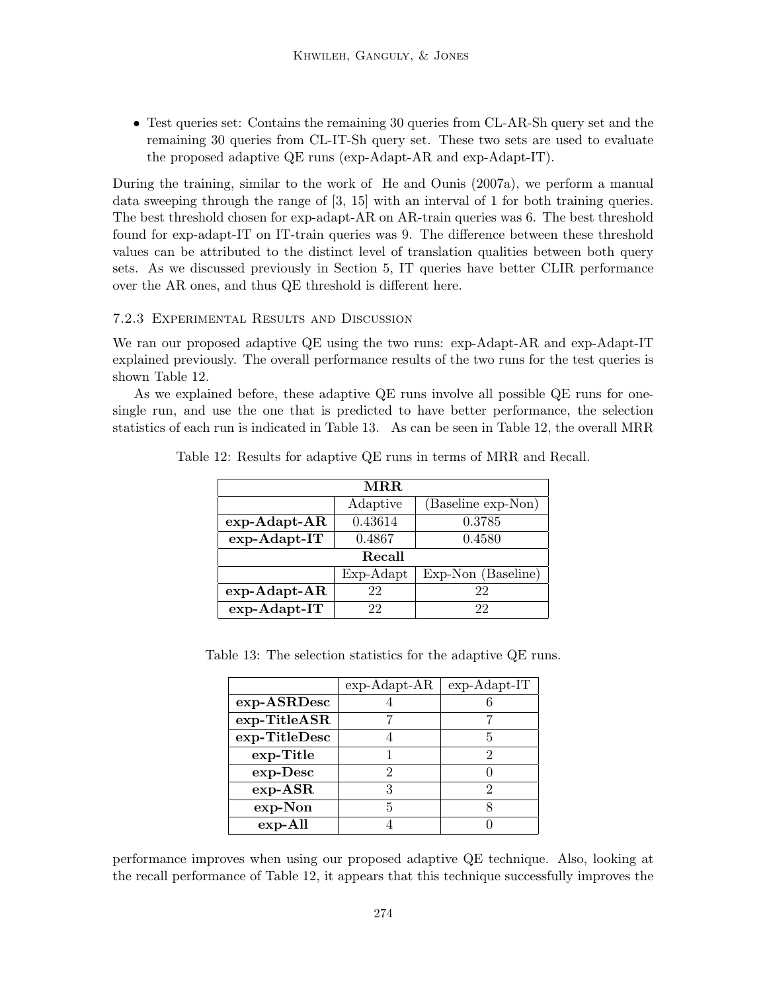• Test queries set: Contains the remaining 30 queries from CL-AR-Sh query set and the remaining 30 queries from CL-IT-Sh query set. These two sets are used to evaluate the proposed adaptive QE runs (exp-Adapt-AR and exp-Adapt-IT).

During the training, similar to the work of He and Ounis (2007a), we perform a manual data sweeping through the range of [3, 15] with an interval of 1 for both training queries. The best threshold chosen for exp-adapt-AR on AR-train queries was 6. The best threshold found for exp-adapt-IT on IT-train queries was 9. The difference between these threshold values can be attributed to the distinct level of translation qualities between both query sets. As we discussed previously in Section 5, IT queries have better CLIR performance over the AR ones, and thus QE threshold is different here.

# 7.2.3 Experimental Results and Discussion

We ran our proposed adaptive QE using the two runs: exp-Adapt-AR and exp-Adapt-IT explained previously. The overall performance results of the two runs for the test queries is shown Table 12.

As we explained before, these adaptive QE runs involve all possible QE runs for onesingle run, and use the one that is predicted to have better performance, the selection statistics of each run is indicated in Table 13. As can be seen in Table 12, the overall MRR

| $\bf{M} \bf{R} \bf{R}$ |           |                    |  |  |
|------------------------|-----------|--------------------|--|--|
|                        | Adaptive  | (Baseline exp-Non) |  |  |
| $exp-Adapt-AR$         | 0.43614   | 0.3785             |  |  |
| exp-Adapt-IT           | 0.4867    | 0.4580             |  |  |
| Recall                 |           |                    |  |  |
|                        | Exp-Adapt | Exp-Non (Baseline) |  |  |
| $exp-Adapt-AR$         | 22        | 22                 |  |  |
| exp-Adapt-IT           | 22.       | 22                 |  |  |

Table 12: Results for adaptive QE runs in terms of MRR and Recall.

Table 13: The selection statistics for the adaptive QE runs.

|               | $exp-Adapt-AR$ | $exp-Adapt-IT$ |
|---------------|----------------|----------------|
| exp-ASRDesc   |                |                |
| exp-TitleASR  |                |                |
| exp-TitleDesc |                | 5              |
| exp-Title     |                |                |
| $exp-Desc$    | ٠,             |                |
| $exp-ASR$     |                |                |
| $exp-Non$     | Б              |                |
| $exp-All$     |                |                |

performance improves when using our proposed adaptive QE technique. Also, looking at the recall performance of Table 12, it appears that this technique successfully improves the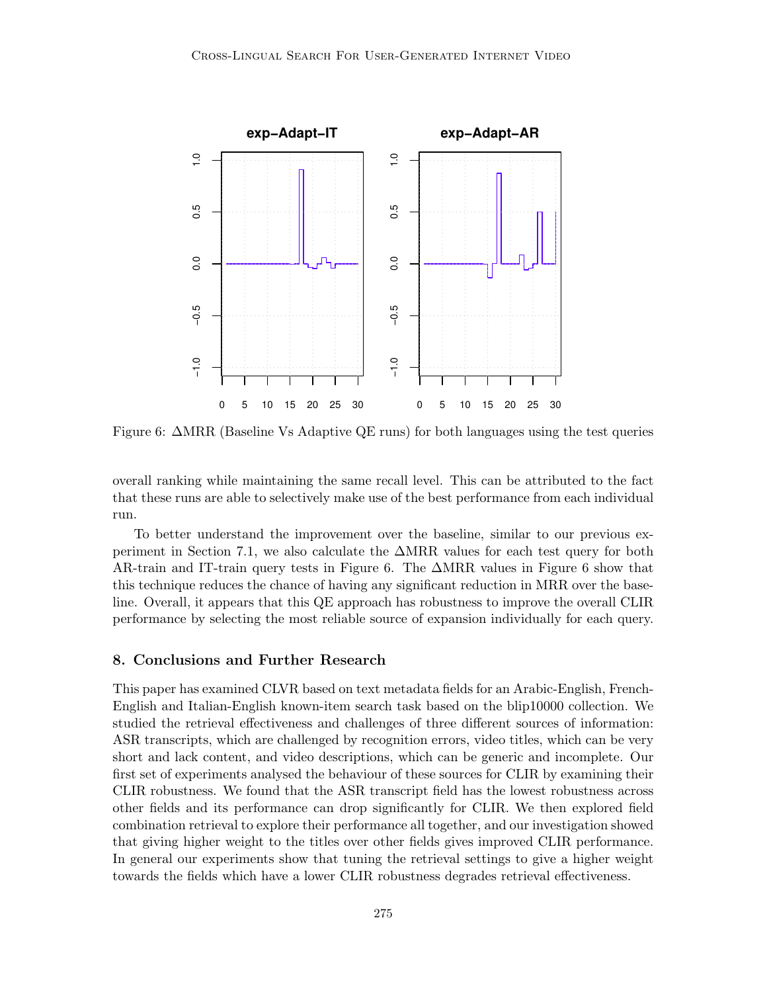

Figure 6: ∆MRR (Baseline Vs Adaptive QE runs) for both languages using the test queries

overall ranking while maintaining the same recall level. This can be attributed to the fact that these runs are able to selectively make use of the best performance from each individual run.

To better understand the improvement over the baseline, similar to our previous experiment in Section 7.1, we also calculate the ∆MRR values for each test query for both AR-train and IT-train query tests in Figure 6. The ∆MRR values in Figure 6 show that this technique reduces the chance of having any significant reduction in MRR over the baseline. Overall, it appears that this QE approach has robustness to improve the overall CLIR performance by selecting the most reliable source of expansion individually for each query.

# 8. Conclusions and Further Research

This paper has examined CLVR based on text metadata fields for an Arabic-English, French-English and Italian-English known-item search task based on the blip10000 collection. We studied the retrieval effectiveness and challenges of three different sources of information: ASR transcripts, which are challenged by recognition errors, video titles, which can be very short and lack content, and video descriptions, which can be generic and incomplete. Our first set of experiments analysed the behaviour of these sources for CLIR by examining their CLIR robustness. We found that the ASR transcript field has the lowest robustness across other fields and its performance can drop significantly for CLIR. We then explored field combination retrieval to explore their performance all together, and our investigation showed that giving higher weight to the titles over other fields gives improved CLIR performance. In general our experiments show that tuning the retrieval settings to give a higher weight towards the fields which have a lower CLIR robustness degrades retrieval effectiveness.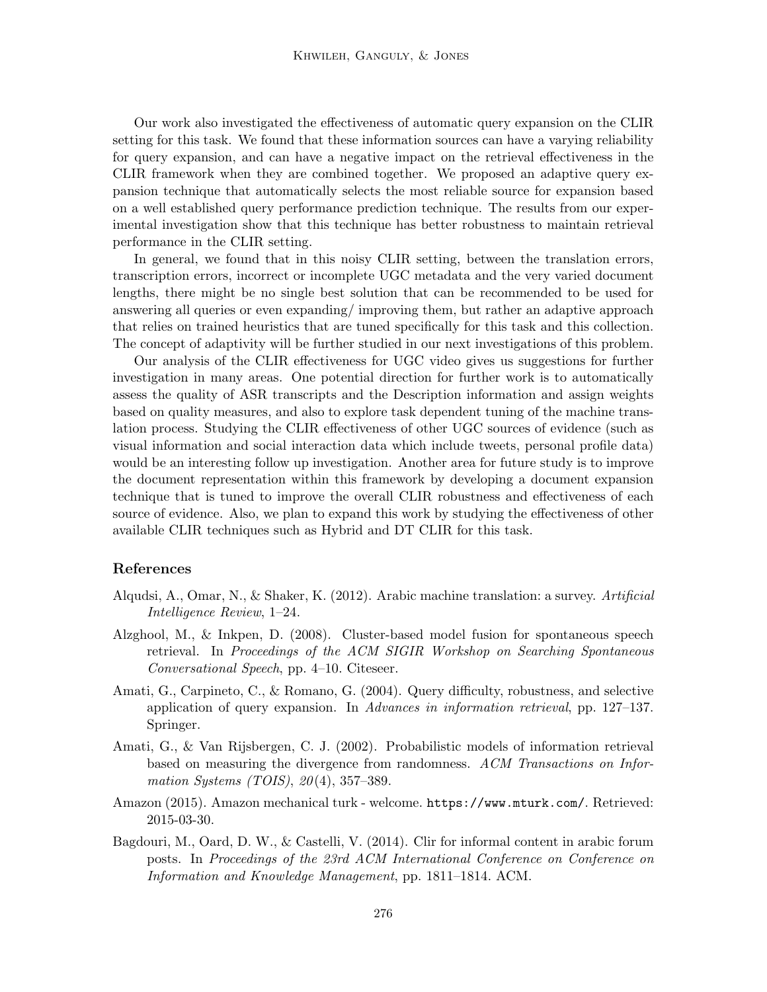Our work also investigated the effectiveness of automatic query expansion on the CLIR setting for this task. We found that these information sources can have a varying reliability for query expansion, and can have a negative impact on the retrieval effectiveness in the CLIR framework when they are combined together. We proposed an adaptive query expansion technique that automatically selects the most reliable source for expansion based on a well established query performance prediction technique. The results from our experimental investigation show that this technique has better robustness to maintain retrieval performance in the CLIR setting.

In general, we found that in this noisy CLIR setting, between the translation errors, transcription errors, incorrect or incomplete UGC metadata and the very varied document lengths, there might be no single best solution that can be recommended to be used for answering all queries or even expanding/ improving them, but rather an adaptive approach that relies on trained heuristics that are tuned specifically for this task and this collection. The concept of adaptivity will be further studied in our next investigations of this problem.

Our analysis of the CLIR effectiveness for UGC video gives us suggestions for further investigation in many areas. One potential direction for further work is to automatically assess the quality of ASR transcripts and the Description information and assign weights based on quality measures, and also to explore task dependent tuning of the machine translation process. Studying the CLIR effectiveness of other UGC sources of evidence (such as visual information and social interaction data which include tweets, personal profile data) would be an interesting follow up investigation. Another area for future study is to improve the document representation within this framework by developing a document expansion technique that is tuned to improve the overall CLIR robustness and effectiveness of each source of evidence. Also, we plan to expand this work by studying the effectiveness of other available CLIR techniques such as Hybrid and DT CLIR for this task.

## References

- Alqudsi, A., Omar, N., & Shaker, K. (2012). Arabic machine translation: a survey. Artificial Intelligence Review, 1–24.
- Alzghool, M., & Inkpen, D. (2008). Cluster-based model fusion for spontaneous speech retrieval. In Proceedings of the ACM SIGIR Workshop on Searching Spontaneous Conversational Speech, pp. 4–10. Citeseer.
- Amati, G., Carpineto, C., & Romano, G. (2004). Query difficulty, robustness, and selective application of query expansion. In Advances in information retrieval, pp. 127–137. Springer.
- Amati, G., & Van Rijsbergen, C. J. (2002). Probabilistic models of information retrieval based on measuring the divergence from randomness. ACM Transactions on Information Systems (TOIS),  $20(4)$ , 357-389.
- Amazon (2015). Amazon mechanical turk welcome. https://www.mturk.com/. Retrieved: 2015-03-30.
- Bagdouri, M., Oard, D. W., & Castelli, V. (2014). Clir for informal content in arabic forum posts. In Proceedings of the 23rd ACM International Conference on Conference on Information and Knowledge Management, pp. 1811–1814. ACM.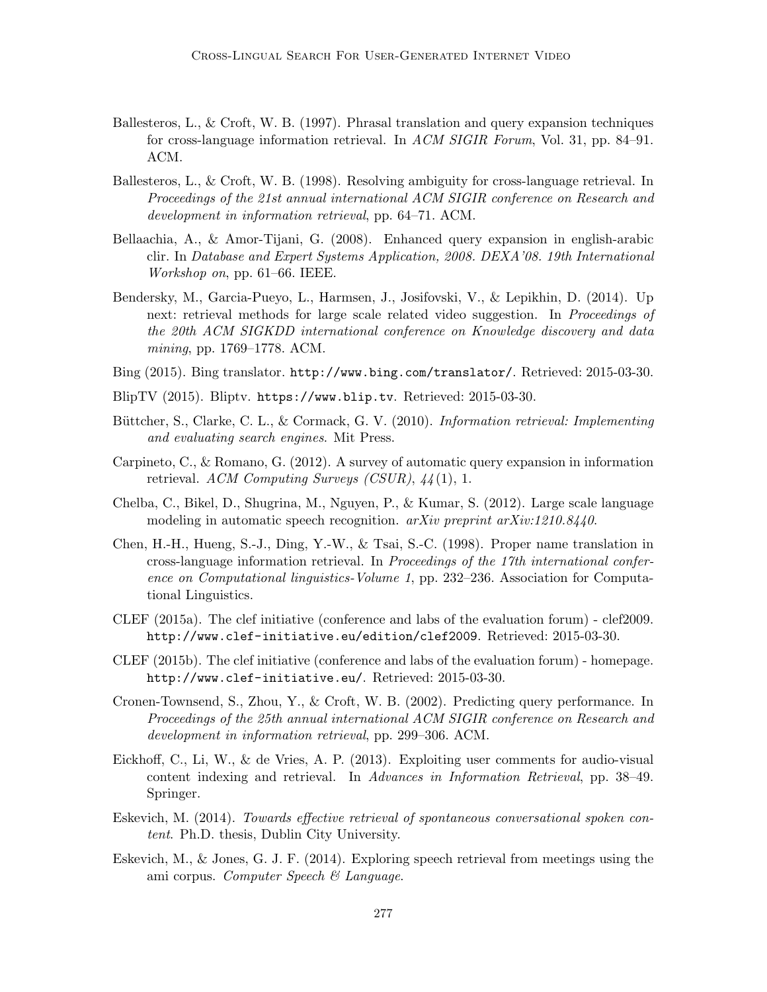- Ballesteros, L., & Croft, W. B. (1997). Phrasal translation and query expansion techniques for cross-language information retrieval. In ACM SIGIR Forum, Vol. 31, pp. 84–91. ACM.
- Ballesteros, L., & Croft, W. B. (1998). Resolving ambiguity for cross-language retrieval. In Proceedings of the 21st annual international ACM SIGIR conference on Research and development in information retrieval, pp. 64–71. ACM.
- Bellaachia, A., & Amor-Tijani, G. (2008). Enhanced query expansion in english-arabic clir. In Database and Expert Systems Application, 2008. DEXA'08. 19th International Workshop on, pp. 61–66. IEEE.
- Bendersky, M., Garcia-Pueyo, L., Harmsen, J., Josifovski, V., & Lepikhin, D. (2014). Up next: retrieval methods for large scale related video suggestion. In *Proceedings of* the 20th ACM SIGKDD international conference on Knowledge discovery and data mining, pp. 1769–1778. ACM.
- Bing (2015). Bing translator. http://www.bing.com/translator/. Retrieved: 2015-03-30.
- BlipTV (2015). Bliptv. https://www.blip.tv. Retrieved: 2015-03-30.
- Büttcher, S., Clarke, C. L., & Cormack, G. V. (2010). Information retrieval: Implementing and evaluating search engines. Mit Press.
- Carpineto, C., & Romano, G. (2012). A survey of automatic query expansion in information retrieval. ACM Computing Surveys (CSUR),  $44(1)$ , 1.
- Chelba, C., Bikel, D., Shugrina, M., Nguyen, P., & Kumar, S. (2012). Large scale language modeling in automatic speech recognition.  $arXiv$  preprint  $arXiv:1210.8440$ .
- Chen, H.-H., Hueng, S.-J., Ding, Y.-W., & Tsai, S.-C. (1998). Proper name translation in cross-language information retrieval. In Proceedings of the 17th international conference on Computational linguistics-Volume 1, pp. 232–236. Association for Computational Linguistics.
- CLEF (2015a). The clef initiative (conference and labs of the evaluation forum) clef2009. http://www.clef-initiative.eu/edition/clef2009. Retrieved: 2015-03-30.
- CLEF (2015b). The clef initiative (conference and labs of the evaluation forum) homepage. http://www.clef-initiative.eu/. Retrieved: 2015-03-30.
- Cronen-Townsend, S., Zhou, Y., & Croft, W. B. (2002). Predicting query performance. In Proceedings of the 25th annual international ACM SIGIR conference on Research and development in information retrieval, pp. 299–306. ACM.
- Eickhoff, C., Li, W., & de Vries, A. P. (2013). Exploiting user comments for audio-visual content indexing and retrieval. In Advances in Information Retrieval, pp. 38–49. Springer.
- Eskevich, M. (2014). Towards effective retrieval of spontaneous conversational spoken content. Ph.D. thesis, Dublin City University.
- Eskevich, M., & Jones, G. J. F. (2014). Exploring speech retrieval from meetings using the ami corpus. Computer Speech  $\mathcal{B}$  Language.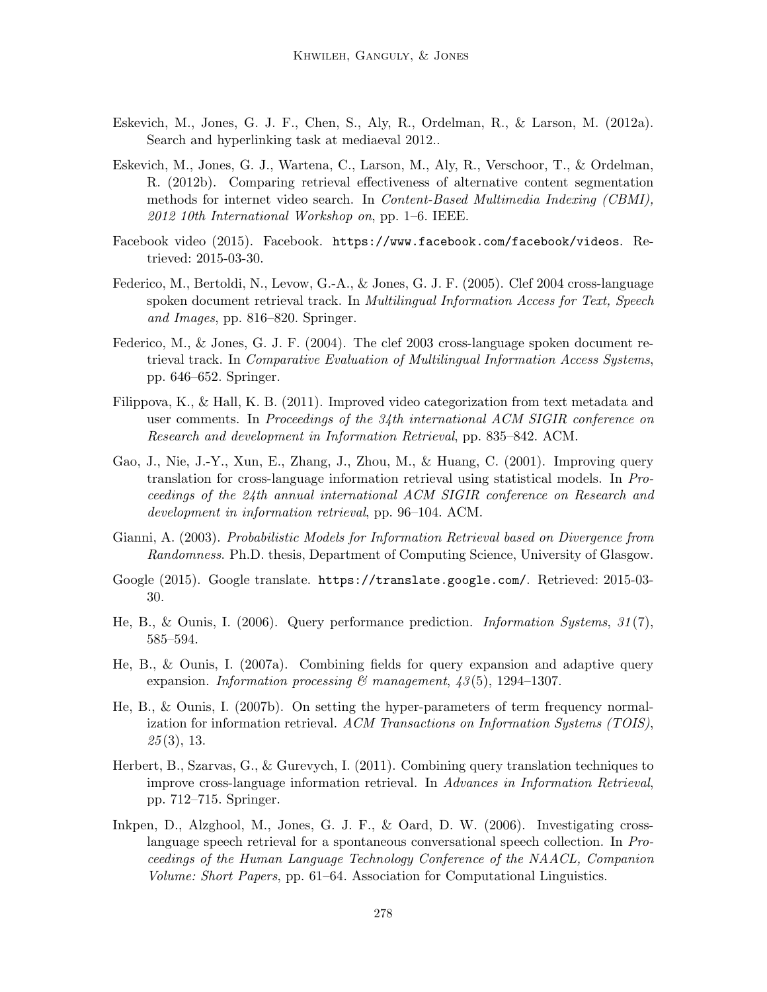- Eskevich, M., Jones, G. J. F., Chen, S., Aly, R., Ordelman, R., & Larson, M. (2012a). Search and hyperlinking task at mediaeval 2012..
- Eskevich, M., Jones, G. J., Wartena, C., Larson, M., Aly, R., Verschoor, T., & Ordelman, R. (2012b). Comparing retrieval effectiveness of alternative content segmentation methods for internet video search. In Content-Based Multimedia Indexing (CBMI),  $2012$  10th International Workshop on, pp. 1–6. IEEE.
- Facebook video (2015). Facebook. https://www.facebook.com/facebook/videos. Retrieved: 2015-03-30.
- Federico, M., Bertoldi, N., Levow, G.-A., & Jones, G. J. F. (2005). Clef 2004 cross-language spoken document retrieval track. In Multilingual Information Access for Text, Speech and Images, pp. 816–820. Springer.
- Federico, M., & Jones, G. J. F. (2004). The clef 2003 cross-language spoken document retrieval track. In Comparative Evaluation of Multilingual Information Access Systems, pp. 646–652. Springer.
- Filippova, K., & Hall, K. B. (2011). Improved video categorization from text metadata and user comments. In Proceedings of the 34th international ACM SIGIR conference on Research and development in Information Retrieval, pp. 835–842. ACM.
- Gao, J., Nie, J.-Y., Xun, E., Zhang, J., Zhou, M., & Huang, C. (2001). Improving query translation for cross-language information retrieval using statistical models. In Proceedings of the 24th annual international ACM SIGIR conference on Research and development in information retrieval, pp. 96–104. ACM.
- Gianni, A. (2003). Probabilistic Models for Information Retrieval based on Divergence from Randomness. Ph.D. thesis, Department of Computing Science, University of Glasgow.
- Google (2015). Google translate. https://translate.google.com/. Retrieved: 2015-03- 30.
- He, B., & Ounis, I. (2006). Query performance prediction. *Information Systems*,  $31(7)$ , 585–594.
- He, B., & Ounis, I. (2007a). Combining fields for query expansion and adaptive query expansion. Information processing  $\mathcal C$  management,  $\mathcal{A}3(5)$ , 1294–1307.
- He, B., & Ounis, I. (2007b). On setting the hyper-parameters of term frequency normalization for information retrieval. ACM Transactions on Information Systems (TOIS),  $25(3)$ , 13.
- Herbert, B., Szarvas, G., & Gurevych, I. (2011). Combining query translation techniques to improve cross-language information retrieval. In Advances in Information Retrieval, pp. 712–715. Springer.
- Inkpen, D., Alzghool, M., Jones, G. J. F., & Oard, D. W. (2006). Investigating crosslanguage speech retrieval for a spontaneous conversational speech collection. In Proceedings of the Human Language Technology Conference of the NAACL, Companion Volume: Short Papers, pp. 61–64. Association for Computational Linguistics.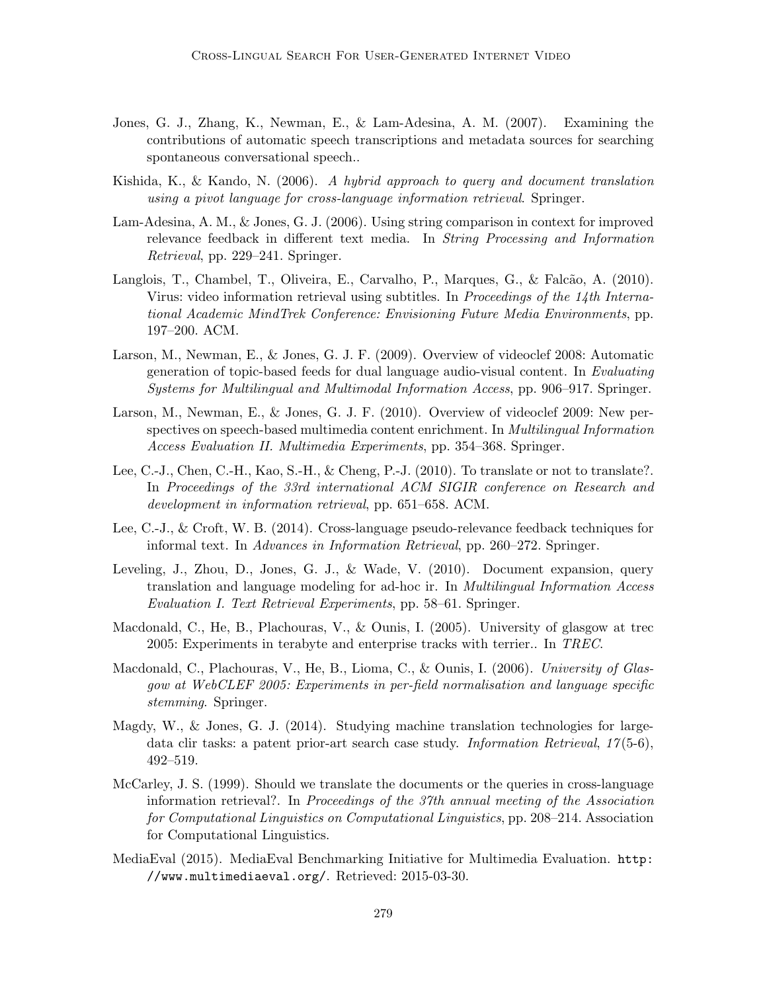- Jones, G. J., Zhang, K., Newman, E., & Lam-Adesina, A. M. (2007). Examining the contributions of automatic speech transcriptions and metadata sources for searching spontaneous conversational speech..
- Kishida, K., & Kando, N. (2006). A hybrid approach to query and document translation using a pivot language for cross-language information retrieval. Springer.
- Lam-Adesina, A. M., & Jones, G. J. (2006). Using string comparison in context for improved relevance feedback in different text media. In String Processing and Information Retrieval, pp. 229–241. Springer.
- Langlois, T., Chambel, T., Oliveira, E., Carvalho, P., Marques, G., & Falcão, A. (2010). Virus: video information retrieval using subtitles. In Proceedings of the 14th International Academic MindTrek Conference: Envisioning Future Media Environments, pp. 197–200. ACM.
- Larson, M., Newman, E., & Jones, G. J. F. (2009). Overview of videoclef 2008: Automatic generation of topic-based feeds for dual language audio-visual content. In Evaluating Systems for Multilingual and Multimodal Information Access, pp. 906–917. Springer.
- Larson, M., Newman, E., & Jones, G. J. F. (2010). Overview of videoclef 2009: New perspectives on speech-based multimedia content enrichment. In Multilingual Information Access Evaluation II. Multimedia Experiments, pp. 354–368. Springer.
- Lee, C.-J., Chen, C.-H., Kao, S.-H., & Cheng, P.-J. (2010). To translate or not to translate?. In Proceedings of the 33rd international ACM SIGIR conference on Research and development in information retrieval, pp. 651–658. ACM.
- Lee, C.-J., & Croft, W. B. (2014). Cross-language pseudo-relevance feedback techniques for informal text. In Advances in Information Retrieval, pp. 260–272. Springer.
- Leveling, J., Zhou, D., Jones, G. J., & Wade, V. (2010). Document expansion, query translation and language modeling for ad-hoc ir. In Multilingual Information Access Evaluation I. Text Retrieval Experiments, pp. 58–61. Springer.
- Macdonald, C., He, B., Plachouras, V., & Ounis, I. (2005). University of glasgow at trec 2005: Experiments in terabyte and enterprise tracks with terrier.. In TREC.
- Macdonald, C., Plachouras, V., He, B., Lioma, C., & Ounis, I. (2006). University of Glasgow at WebCLEF 2005: Experiments in per-field normalisation and language specific stemming. Springer.
- Magdy, W., & Jones, G. J. (2014). Studying machine translation technologies for largedata clir tasks: a patent prior-art search case study. Information Retrieval,  $17(5-6)$ , 492–519.
- McCarley, J. S. (1999). Should we translate the documents or the queries in cross-language information retrieval?. In Proceedings of the 37th annual meeting of the Association for Computational Linguistics on Computational Linguistics, pp. 208–214. Association for Computational Linguistics.
- MediaEval (2015). MediaEval Benchmarking Initiative for Multimedia Evaluation. http: //www.multimediaeval.org/. Retrieved: 2015-03-30.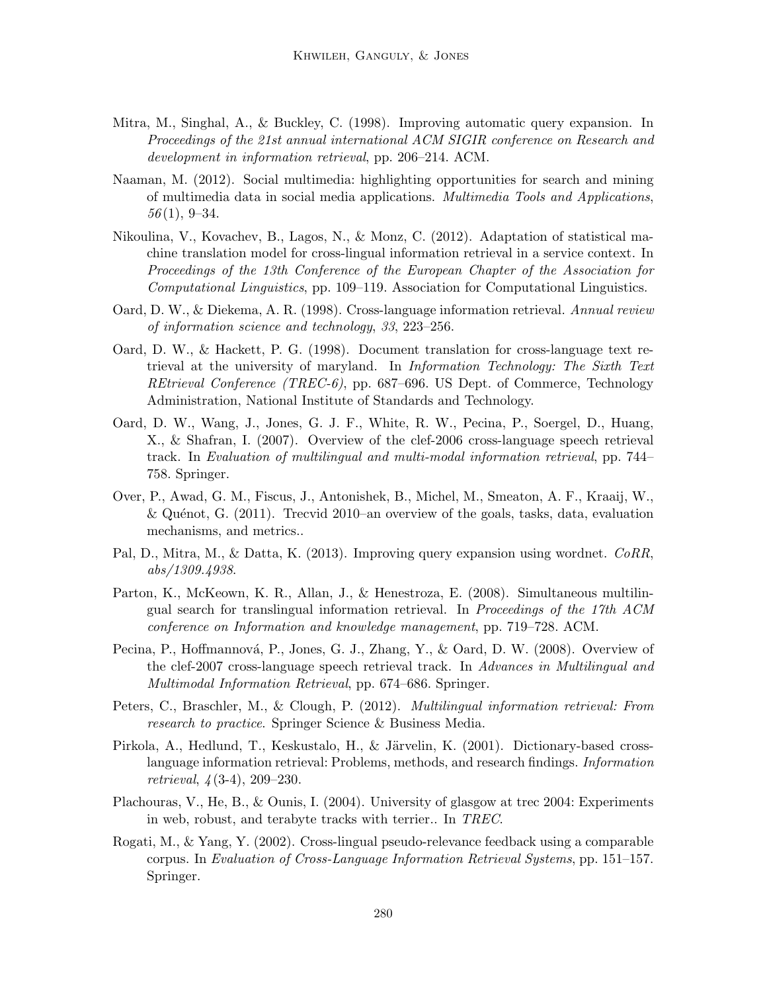- Mitra, M., Singhal, A., & Buckley, C. (1998). Improving automatic query expansion. In Proceedings of the 21st annual international ACM SIGIR conference on Research and development in information retrieval, pp. 206–214. ACM.
- Naaman, M. (2012). Social multimedia: highlighting opportunities for search and mining of multimedia data in social media applications. Multimedia Tools and Applications,  $56(1), 9-34.$
- Nikoulina, V., Kovachev, B., Lagos, N., & Monz, C. (2012). Adaptation of statistical machine translation model for cross-lingual information retrieval in a service context. In Proceedings of the 13th Conference of the European Chapter of the Association for Computational Linguistics, pp. 109–119. Association for Computational Linguistics.
- Oard, D. W., & Diekema, A. R. (1998). Cross-language information retrieval. Annual review of information science and technology, 33, 223–256.
- Oard, D. W., & Hackett, P. G. (1998). Document translation for cross-language text retrieval at the university of maryland. In Information Technology: The Sixth Text REtrieval Conference (TREC-6), pp. 687–696. US Dept. of Commerce, Technology Administration, National Institute of Standards and Technology.
- Oard, D. W., Wang, J., Jones, G. J. F., White, R. W., Pecina, P., Soergel, D., Huang, X., & Shafran, I. (2007). Overview of the clef-2006 cross-language speech retrieval track. In Evaluation of multilingual and multi-modal information retrieval, pp. 744– 758. Springer.
- Over, P., Awad, G. M., Fiscus, J., Antonishek, B., Michel, M., Smeaton, A. F., Kraaij, W., & Quénot, G.  $(2011)$ . Trecvid 2010–an overview of the goals, tasks, data, evaluation mechanisms, and metrics..
- Pal, D., Mitra, M., & Datta, K. (2013). Improving query expansion using wordnet. CoRR, abs/1309.4938.
- Parton, K., McKeown, K. R., Allan, J., & Henestroza, E. (2008). Simultaneous multilingual search for translingual information retrieval. In Proceedings of the 17th ACM conference on Information and knowledge management, pp. 719–728. ACM.
- Pecina, P., Hoffmannová, P., Jones, G. J., Zhang, Y., & Oard, D. W. (2008). Overview of the clef-2007 cross-language speech retrieval track. In Advances in Multilingual and Multimodal Information Retrieval, pp. 674–686. Springer.
- Peters, C., Braschler, M., & Clough, P. (2012). Multilingual information retrieval: From research to practice. Springer Science & Business Media.
- Pirkola, A., Hedlund, T., Keskustalo, H., & Järvelin, K. (2001). Dictionary-based crosslanguage information retrieval: Problems, methods, and research findings. Information retrieval, 4 (3-4), 209–230.
- Plachouras, V., He, B., & Ounis, I. (2004). University of glasgow at trec 2004: Experiments in web, robust, and terabyte tracks with terrier.. In TREC.
- Rogati, M., & Yang, Y. (2002). Cross-lingual pseudo-relevance feedback using a comparable corpus. In Evaluation of Cross-Language Information Retrieval Systems, pp. 151–157. Springer.